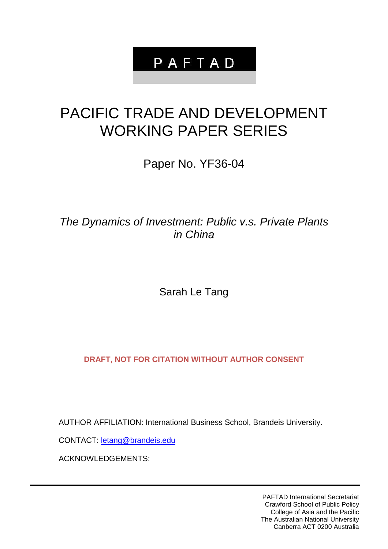# PAFTAD

# PACIFIC TRADE AND DEVELOPMENT WORKING PAPER SERIES

Paper No. YF36-04

*The Dynamics of Investment: Public v.s. Private Plants in China*

Sarah Le Tang

**DRAFT, NOT FOR CITATION WITHOUT AUTHOR CONSENT**

AUTHOR AFFILIATION: International Business School, Brandeis University.

CONTACT: [letang@brandeis.edu](mailto:letang@brandeis.edu)

ACKNOWLEDGEMENTS:

PAFTAD International Secretariat Crawford School of Public Policy College of Asia and the Pacific The Australian National University Canberra ACT 0200 Australia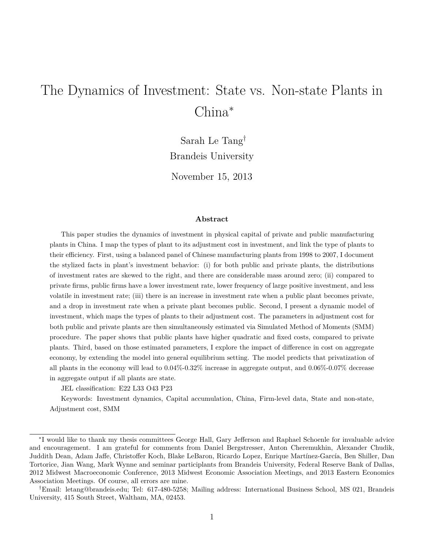# The Dynamics of Investment: State vs. Non-state Plants in China<sup>∗</sup>

Sarah Le Tang† Brandeis University November 15, 2013

#### **Abstract**

This paper studies the dynamics of investment in physical capital of private and public manufacturing plants in China. I map the types of plant to its adjustment cost in investment, and link the type of plants to their efficiency. First, using a balanced panel of Chinese manufacturing plants from 1998 to 2007, I document the stylized facts in plant's investment behavior: (i) for both public and private plants, the distributions of investment rates are skewed to the right, and there are considerable mass around zero; (ii) compared to private firms, public firms have a lower investment rate, lower frequency of large positive investment, and less volatile in investment rate; (iii) there is an increase in investment rate when a public plant becomes private, and a drop in investment rate when a private plant becomes public. Second, I present a dynamic model of investment, which maps the types of plants to their adjustment cost. The parameters in adjustment cost for both public and private plants are then simultaneously estimated via Simulated Method of Moments (SMM) procedure. The paper shows that public plants have higher quadratic and fixed costs, compared to private plants. Third, based on those estimated parameters, I explore the impact of difference in cost on aggregate economy, by extending the model into general equilibrium setting. The model predicts that privatization of all plants in the economy will lead to 0.04%-0.32% increase in aggregate output, and 0.06%-0.07% decrease in aggregate output if all plants are state.

JEL classification: E22 L33 O43 P23

Keywords: Investment dynamics, Capital accumulation, China, Firm-level data, State and non-state, Adjustment cost, SMM

<sup>∗</sup> I would like to thank my thesis committees George Hall, Gary Jefferson and Raphael Schoenle for invaluable advice and encouragement. I am grateful for comments from Daniel Bergstresser, Anton Cheremukhin, Alexander Chudik, Juddith Dean, Adam Jaffe, Christoffer Koch, Blake LeBaron, Ricardo Lopez, Enrique Martínez-García, Ben Shiller, Dan Tortorice, Jian Wang, Mark Wynne and seminar participlants from Brandeis University, Federal Reserve Bank of Dallas, 2012 Midwest Macroeconomic Conference, 2013 Midwest Economic Association Meetings, and 2013 Eastern Economics Association Meetings. Of course, all errors are mine.

<sup>†</sup>Email: letang@brandeis.edu; Tel: 617-480-5258; Mailing address: International Business School, MS 021, Brandeis University, 415 South Street, Waltham, MA, 02453.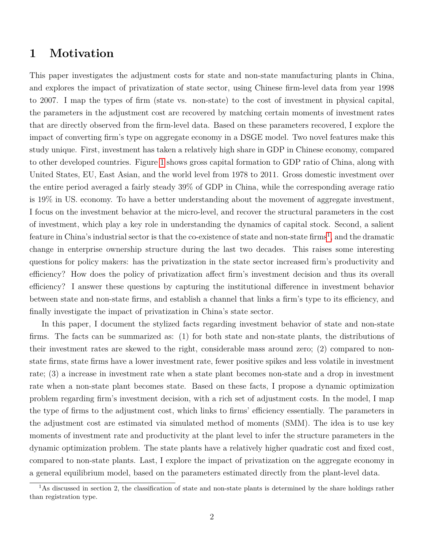### **1 Motivation**

This paper investigates the adjustment costs for state and non-state manufacturing plants in China, and explores the impact of privatization of state sector, using Chinese firm-level data from year 1998 to 2007. I map the types of firm (state vs. non-state) to the cost of investment in physical capital, the parameters in the adjustment cost are recovered by matching certain moments of investment rates that are directly observed from the firm-level data. Based on these parameters recovered, I explore the impact of converting firm's type on aggregate economy in a DSGE model. Two novel features make this study unique. First, investment has taken a relatively high share in GDP in Chinese economy, compared to other developed countries. Figure [1](#page-28-0) shows gross capital formation to GDP ratio of China, along with United States, EU, East Asian, and the world level from 1978 to 2011. Gross domestic investment over the entire period averaged a fairly steady 39% of GDP in China, while the corresponding average ratio is 19% in US. economy. To have a better understanding about the movement of aggregate investment, I focus on the investment behavior at the micro-level, and recover the structural parameters in the cost of investment, which play a key role in understanding the dynamics of capital stock. Second, a salient feature in China's industrial sector is that the co-existence of state and non-state firms<sup>[1](#page-2-0)</sup>, and the dramatic change in enterprise ownership structure during the last two decades. This raises some interesting questions for policy makers: has the privatization in the state sector increased firm's productivity and efficiency? How does the policy of privatization affect firm's investment decision and thus its overall efficiency? I answer these questions by capturing the institutional difference in investment behavior between state and non-state firms, and establish a channel that links a firm's type to its efficiency, and finally investigate the impact of privatization in China's state sector.

In this paper, I document the stylized facts regarding investment behavior of state and non-state firms. The facts can be summarized as: (1) for both state and non-state plants, the distributions of their investment rates are skewed to the right, considerable mass around zero; (2) compared to nonstate firms, state firms have a lower investment rate, fewer positive spikes and less volatile in investment rate; (3) a increase in investment rate when a state plant becomes non-state and a drop in investment rate when a non-state plant becomes state. Based on these facts, I propose a dynamic optimization problem regarding firm's investment decision, with a rich set of adjustment costs. In the model, I map the type of firms to the adjustment cost, which links to firms' efficiency essentially. The parameters in the adjustment cost are estimated via simulated method of moments (SMM). The idea is to use key moments of investment rate and productivity at the plant level to infer the structure parameters in the dynamic optimization problem. The state plants have a relatively higher quadratic cost and fixed cost, compared to non-state plants. Last, I explore the impact of privatization on the aggregate economy in a general equilibrium model, based on the parameters estimated directly from the plant-level data.

<span id="page-2-0"></span><sup>&</sup>lt;sup>1</sup>As discussed in section 2, the classification of state and non-state plants is determined by the share holdings rather than registration type.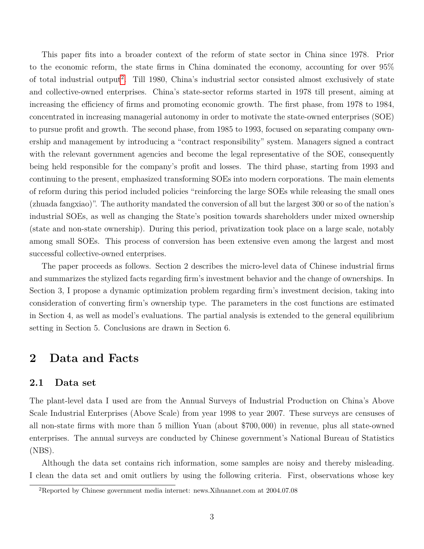This paper fits into a broader context of the reform of state sector in China since 1978. Prior to the economic reform, the state firms in China dominated the economy, accounting for over 95% of total industrial output<sup>[2](#page-3-0)</sup>. Till 1980, China's industrial sector consisted almost exclusively of state and collective-owned enterprises. China's state-sector reforms started in 1978 till present, aiming at increasing the efficiency of firms and promoting economic growth. The first phase, from 1978 to 1984, concentrated in increasing managerial autonomy in order to motivate the state-owned enterprises (SOE) to pursue profit and growth. The second phase, from 1985 to 1993, focused on separating company ownership and management by introducing a "contract responsibility" system. Managers signed a contract with the relevant government agencies and become the legal representative of the SOE, consequently being held responsible for the company's profit and losses. The third phase, starting from 1993 and continuing to the present, emphasized transforming SOEs into modern corporations. The main elements of reform during this period included policies "reinforcing the large SOEs while releasing the small ones (zhuada fangxiao)". The authority mandated the conversion of all but the largest 300 or so of the nation's industrial SOEs, as well as changing the State's position towards shareholders under mixed ownership (state and non-state ownership). During this period, privatization took place on a large scale, notably among small SOEs. This process of conversion has been extensive even among the largest and most successful collective-owned enterprises.

The paper proceeds as follows. Section 2 describes the micro-level data of Chinese industrial firms and summarizes the stylized facts regarding firm's investment behavior and the change of ownerships. In Section 3, I propose a dynamic optimization problem regarding firm's investment decision, taking into consideration of converting firm's ownership type. The parameters in the cost functions are estimated in Section 4, as well as model's evaluations. The partial analysis is extended to the general equilibrium setting in Section 5. Conclusions are drawn in Section 6.

## **2 Data and Facts**

### **2.1 Data set**

The plant-level data I used are from the Annual Surveys of Industrial Production on China's Above Scale Industrial Enterprises (Above Scale) from year 1998 to year 2007. These surveys are censuses of all non-state firms with more than 5 million Yuan (about \$700*,* 000) in revenue, plus all state-owned enterprises. The annual surveys are conducted by Chinese government's National Bureau of Statistics (NBS).

Although the data set contains rich information, some samples are noisy and thereby misleading. I clean the data set and omit outliers by using the following criteria. First, observations whose key

<span id="page-3-0"></span><sup>2</sup>Reported by Chinese government media internet: news.Xihuannet.com at 2004.07.08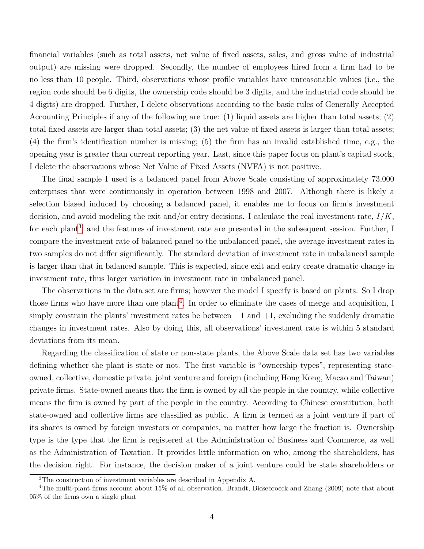financial variables (such as total assets, net value of fixed assets, sales, and gross value of industrial output) are missing were dropped. Secondly, the number of employees hired from a firm had to be no less than 10 people. Third, observations whose profile variables have unreasonable values (i.e., the region code should be 6 digits, the ownership code should be 3 digits, and the industrial code should be 4 digits) are dropped. Further, I delete observations according to the basic rules of Generally Accepted Accounting Principles if any of the following are true: (1) liquid assets are higher than total assets; (2) total fixed assets are larger than total assets; (3) the net value of fixed assets is larger than total assets; (4) the firm's identification number is missing; (5) the firm has an invalid established time, e.g., the opening year is greater than current reporting year. Last, since this paper focus on plant's capital stock, I delete the observations whose Net Value of Fixed Assets (NVFA) is not positive.

The final sample I used is a balanced panel from Above Scale consisting of approximately 73,000 enterprises that were continuously in operation between 1998 and 2007. Although there is likely a selection biased induced by choosing a balanced panel, it enables me to focus on firm's investment decision, and avoid modeling the exit and/or entry decisions. I calculate the real investment rate, *I/K*, for each plant<sup>[3](#page-4-0)</sup>, and the features of investment rate are presented in the subsequent session. Further, I compare the investment rate of balanced panel to the unbalanced panel, the average investment rates in two samples do not differ significantly. The standard deviation of investment rate in unbalanced sample is larger than that in balanced sample. This is expected, since exit and entry create dramatic change in investment rate, thus larger variation in investment rate in unbalanced panel.

The observations in the data set are firms; however the model I specify is based on plants. So I drop those firms who have more than one plant<sup>[4](#page-4-1)</sup>. In order to eliminate the cases of merge and acquisition, I simply constrain the plants' investment rates be between  $-1$  and  $+1$ , excluding the suddenly dramatic changes in investment rates. Also by doing this, all observations' investment rate is within 5 standard deviations from its mean.

Regarding the classification of state or non-state plants, the Above Scale data set has two variables defining whether the plant is state or not. The first variable is "ownership types", representing stateowned, collective, domestic private, joint venture and foreign (including Hong Kong, Macao and Taiwan) private firms. State-owned means that the firm is owned by all the people in the country, while collective means the firm is owned by part of the people in the country. According to Chinese constitution, both state-owned and collective firms are classified as public. A firm is termed as a joint venture if part of its shares is owned by foreign investors or companies, no matter how large the fraction is. Ownership type is the type that the firm is registered at the Administration of Business and Commerce, as well as the Administration of Taxation. It provides little information on who, among the shareholders, has the decision right. For instance, the decision maker of a joint venture could be state shareholders or

<span id="page-4-1"></span><span id="page-4-0"></span><sup>3</sup>The construction of investment variables are described in Appendix A.

<sup>&</sup>lt;sup>4</sup>The multi-plant firms account about 15% of all observation. Brandt, Biesebroeck and Zhang (2009) note that about 95% of the firms own a single plant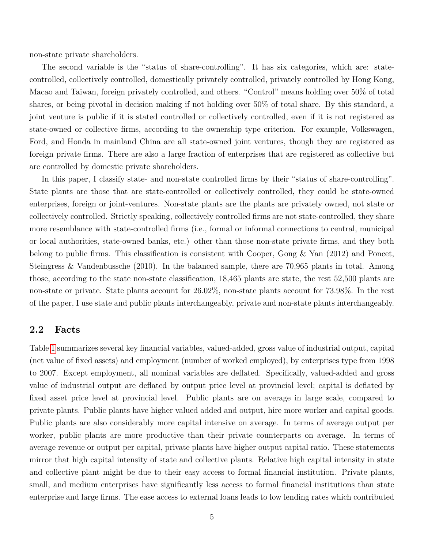non-state private shareholders.

The second variable is the "status of share-controlling". It has six categories, which are: statecontrolled, collectively controlled, domestically privately controlled, privately controlled by Hong Kong, Macao and Taiwan, foreign privately controlled, and others. "Control" means holding over 50% of total shares, or being pivotal in decision making if not holding over 50% of total share. By this standard, a joint venture is public if it is stated controlled or collectively controlled, even if it is not registered as state-owned or collective firms, according to the ownership type criterion. For example, Volkswagen, Ford, and Honda in mainland China are all state-owned joint ventures, though they are registered as foreign private firms. There are also a large fraction of enterprises that are registered as collective but are controlled by domestic private shareholders.

In this paper, I classify state- and non-state controlled firms by their "status of share-controlling". State plants are those that are state-controlled or collectively controlled, they could be state-owned enterprises, foreign or joint-ventures. Non-state plants are the plants are privately owned, not state or collectively controlled. Strictly speaking, collectively controlled firms are not state-controlled, they share more resemblance with state-controlled firms (i.e., formal or informal connections to central, municipal or local authorities, state-owned banks, etc.) other than those non-state private firms, and they both belong to public firms. This classification is consistent with Cooper, Gong & Yan (2012) and Poncet, Steingress & Vandenbussche (2010). In the balanced sample, there are 70,965 plants in total. Among those, according to the state non-state classification, 18,465 plants are state, the rest 52,500 plants are non-state or private. State plants account for 26.02%, non-state plants account for 73.98%. In the rest of the paper, I use state and public plants interchangeably, private and non-state plants interchangeably.

### **2.2 Facts**

Table [1](#page-20-0) summarizes several key financial variables, valued-added, gross value of industrial output, capital (net value of fixed assets) and employment (number of worked employed), by enterprises type from 1998 to 2007. Except employment, all nominal variables are deflated. Specifically, valued-added and gross value of industrial output are deflated by output price level at provincial level; capital is deflated by fixed asset price level at provincial level. Public plants are on average in large scale, compared to private plants. Public plants have higher valued added and output, hire more worker and capital goods. Public plants are also considerably more capital intensive on average. In terms of average output per worker, public plants are more productive than their private counterparts on average. In terms of average revenue or output per capital, private plants have higher output capital ratio. These statements mirror that high capital intensity of state and collective plants. Relative high capital intensity in state and collective plant might be due to their easy access to formal financial institution. Private plants, small, and medium enterprises have significantly less access to formal financial institutions than state enterprise and large firms. The ease access to external loans leads to low lending rates which contributed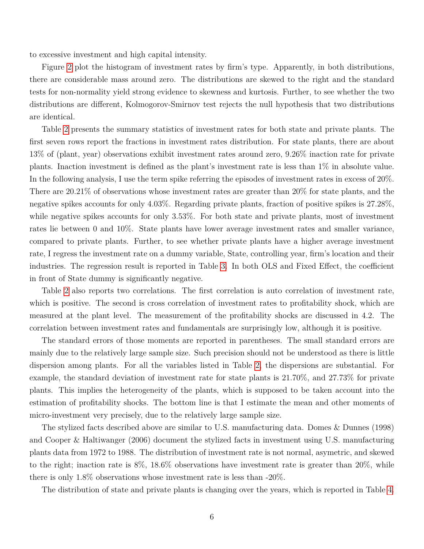to excessive investment and high capital intensity.

Figure [2](#page-29-0) plot the histogram of investment rates by firm's type. Apparently, in both distributions, there are considerable mass around zero. The distributions are skewed to the right and the standard tests for non-normality yield strong evidence to skewness and kurtosis. Further, to see whether the two distributions are different, Kolmogorov-Smirnov test rejects the null hypothesis that two distributions are identical.

Table [2](#page-21-0) presents the summary statistics of investment rates for both state and private plants. The first seven rows report the fractions in investment rates distribution. For state plants, there are about 13% of (plant, year) observations exhibit investment rates around zero, 9.26% inaction rate for private plants. Inaction investment is defined as the plant's investment rate is less than 1% in absolute value. In the following analysis, I use the term spike referring the episodes of investment rates in excess of 20%. There are 20.21% of observations whose investment rates are greater than 20% for state plants, and the negative spikes accounts for only 4.03%. Regarding private plants, fraction of positive spikes is 27.28%, while negative spikes accounts for only 3.53%. For both state and private plants, most of investment rates lie between 0 and 10%. State plants have lower average investment rates and smaller variance, compared to private plants. Further, to see whether private plants have a higher average investment rate, I regress the investment rate on a dummy variable, State, controlling year, firm's location and their industries. The regression result is reported in Table [3.](#page-22-0) In both OLS and Fixed Effect, the coefficient in front of State dummy is significantly negative.

Table [2](#page-21-0) also reports two correlations. The first correlation is auto correlation of investment rate, which is positive. The second is cross correlation of investment rates to profitability shock, which are measured at the plant level. The measurement of the profitability shocks are discussed in 4.2. The correlation between investment rates and fundamentals are surprisingly low, although it is positive.

The standard errors of those moments are reported in parentheses. The small standard errors are mainly due to the relatively large sample size. Such precision should not be understood as there is little dispersion among plants. For all the variables listed in Table [2,](#page-21-0) the dispersions are substantial. For example, the standard deviation of investment rate for state plants is 21.70%, and 27.73% for private plants. This implies the heterogeneity of the plants, which is supposed to be taken account into the estimation of profitability shocks. The bottom line is that I estimate the mean and other moments of micro-investment very precisely, due to the relatively large sample size.

The stylized facts described above are similar to U.S. manufacturing data. Domes & Dunnes (1998) and Cooper & Haltiwanger (2006) document the stylized facts in investment using U.S. manufacturing plants data from 1972 to 1988. The distribution of investment rate is not normal, asymetric, and skewed to the right; inaction rate is 8%, 18.6% observations have investment rate is greater than 20%, while there is only 1.8% observations whose investment rate is less than -20%.

The distribution of state and private plants is changing over the years, which is reported in Table [4.](#page-22-1)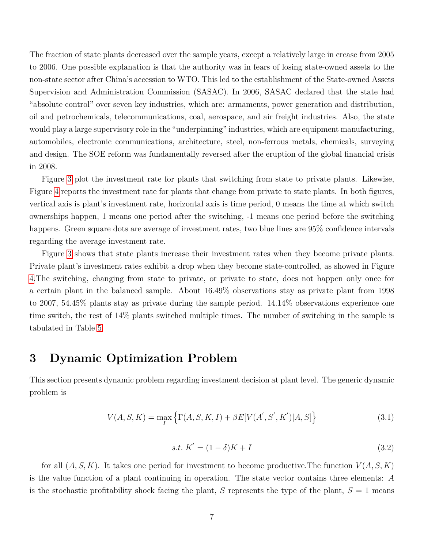The fraction of state plants decreased over the sample years, except a relatively large in crease from 2005 to 2006. One possible explanation is that the authority was in fears of losing state-owned assets to the non-state sector after China's accession to WTO. This led to the establishment of the State-owned Assets Supervision and Administration Commission (SASAC). In 2006, SASAC declared that the state had "absolute control" over seven key industries, which are: armaments, power generation and distribution, oil and petrochemicals, telecommunications, coal, aerospace, and air freight industries. Also, the state would play a large supervisory role in the "underpinning" industries, which are equipment manufacturing, automobiles, electronic communications, architecture, steel, non-ferrous metals, chemicals, surveying and design. The SOE reform was fundamentally reversed after the eruption of the global financial crisis in 2008.

Figure [3](#page-30-0) plot the investment rate for plants that switching from state to private plants. Likewise, Figure [4](#page-30-1) reports the investment rate for plants that change from private to state plants. In both figures, vertical axis is plant's investment rate, horizontal axis is time period, 0 means the time at which switch ownerships happen, 1 means one period after the switching, -1 means one period before the switching happens. Green square dots are average of investment rates, two blue lines are 95% confidence intervals regarding the average investment rate.

Figure [3](#page-30-0) shows that state plants increase their investment rates when they become private plants. Private plant's investment rates exhibit a drop when they become state-controlled, as showed in Figure [4.](#page-30-1)The switching, changing from state to private, or private to state, does not happen only once for a certain plant in the balanced sample. About 16.49% observations stay as private plant from 1998 to 2007, 54.45% plants stay as private during the sample period. 14.14% observations experience one time switch, the rest of 14% plants switched multiple times. The number of switching in the sample is tabulated in Table [5.](#page-22-2)

## **3 Dynamic Optimization Problem**

This section presents dynamic problem regarding investment decision at plant level. The generic dynamic problem is

$$
V(A, S, K) = \max_{I} \{ \Gamma(A, S, K, I) + \beta E[V(A', S', K') | A, S] \}
$$
(3.1)

$$
s.t. K' = (1 - \delta)K + I \tag{3.2}
$$

for all  $(A, S, K)$ . It takes one period for investment to become productive. The function  $V(A, S, K)$ is the value function of a plant continuing in operation. The state vector contains three elements: *A* is the stochastic profitability shock facing the plant, *S* represents the type of the plant,  $S = 1$  means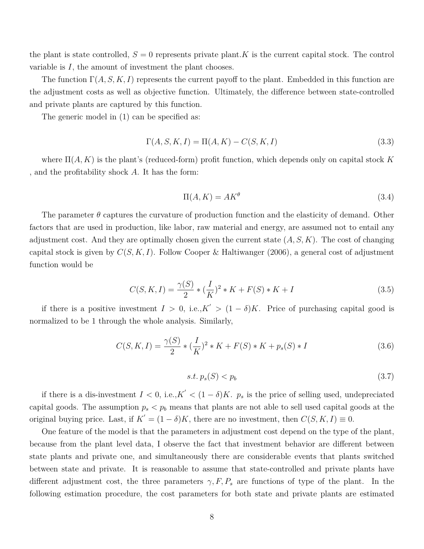the plant is state controlled,  $S = 0$  represents private plant. K is the current capital stock. The control variable is *I*, the amount of investment the plant chooses.

The function  $\Gamma(A, S, K, I)$  represents the current payoff to the plant. Embedded in this function are the adjustment costs as well as objective function. Ultimately, the difference between state-controlled and private plants are captured by this function.

The generic model in (1) can be specified as:

$$
\Gamma(A, S, K, I) = \Pi(A, K) - C(S, K, I)
$$
\n(3.3)

where Π(*A, K*) is the plant's (reduced-form) profit function, which depends only on capital stock *K* , and the profitability shock *A*. It has the form:

$$
\Pi(A, K) = AK^{\theta} \tag{3.4}
$$

The parameter *θ* captures the curvature of production function and the elasticity of demand. Other factors that are used in production, like labor, raw material and energy, are assumed not to entail any adjustment cost. And they are optimally chosen given the current state (*A, S, K*). The cost of changing capital stock is given by  $C(S, K, I)$ . Follow Cooper & Haltiwanger (2006), a general cost of adjustment function would be

$$
C(S, K, I) = \frac{\gamma(S)}{2} * (\frac{I}{K})^2 * K + F(S) * K + I
$$
\n(3.5)

if there is a positive investment  $I > 0$ , i.e., $K' > (1 - \delta)K$ . Price of purchasing capital good is normalized to be 1 through the whole analysis. Similarly,

$$
C(S, K, I) = \frac{\gamma(S)}{2} * (\frac{I}{K})^2 * K + F(S) * K + p_s(S) * I
$$
\n(3.6)

$$
s.t. p_s(S) < p_b \tag{3.7}
$$

if there is a dis-investment  $I < 0$ , i.e., $K' < (1 - \delta)K$ .  $p_s$  is the price of selling used, undepreciated capital goods. The assumption  $p_s < p_b$  means that plants are not able to sell used capital goods at the original buying price. Last, if  $K' = (1 - \delta)K$ , there are no investment, then  $C(S, K, I) \equiv 0$ .

One feature of the model is that the parameters in adjustment cost depend on the type of the plant, because from the plant level data, I observe the fact that investment behavior are different between state plants and private one, and simultaneously there are considerable events that plants switched between state and private. It is reasonable to assume that state-controlled and private plants have different adjustment cost, the three parameters  $\gamma$ ,  $F$ ,  $P$ <sub>*s*</sub> are functions of type of the plant. In the following estimation procedure, the cost parameters for both state and private plants are estimated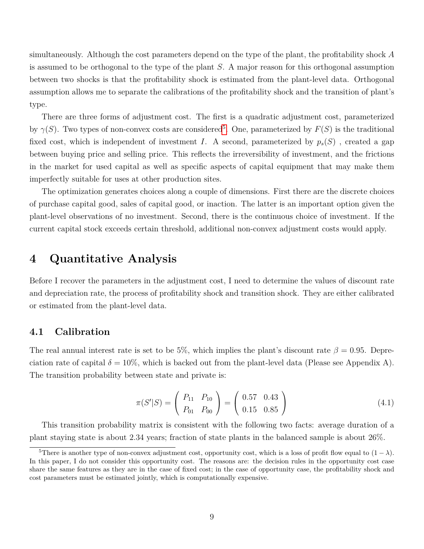simultaneously. Although the cost parameters depend on the type of the plant, the profitability shock *A* is assumed to be orthogonal to the type of the plant *S*. A major reason for this orthogonal assumption between two shocks is that the profitability shock is estimated from the plant-level data. Orthogonal assumption allows me to separate the calibrations of the profitability shock and the transition of plant's type.

There are three forms of adjustment cost. The first is a quadratic adjustment cost, parameterized by  $\gamma(S)$ . Two types of non-convex costs are considered<sup>[5](#page-9-0)</sup>. One, parameterized by  $F(S)$  is the traditional fixed cost, which is independent of investment *I*. A second, parameterized by  $p_s(S)$ , created a gap between buying price and selling price. This reflects the irreversibility of investment, and the frictions in the market for used capital as well as specific aspects of capital equipment that may make them imperfectly suitable for uses at other production sites.

The optimization generates choices along a couple of dimensions. First there are the discrete choices of purchase capital good, sales of capital good, or inaction. The latter is an important option given the plant-level observations of no investment. Second, there is the continuous choice of investment. If the current capital stock exceeds certain threshold, additional non-convex adjustment costs would apply.

## **4 Quantitative Analysis**

Before I recover the parameters in the adjustment cost, I need to determine the values of discount rate and depreciation rate, the process of profitability shock and transition shock. They are either calibrated or estimated from the plant-level data.

### **4.1 Calibration**

The real annual interest rate is set to be 5%, which implies the plant's discount rate  $\beta = 0.95$ . Depreciation rate of capital  $\delta = 10\%$ , which is backed out from the plant-level data (Please see Appendix A). The transition probability between state and private is:

$$
\pi(S'|S) = \left(\begin{array}{cc} P_{11} & P_{10} \\ P_{01} & P_{00} \end{array}\right) = \left(\begin{array}{cc} 0.57 & 0.43 \\ 0.15 & 0.85 \end{array}\right) \tag{4.1}
$$

This transition probability matrix is consistent with the following two facts: average duration of a plant staying state is about 2*.*34 years; fraction of state plants in the balanced sample is about 26%.

<span id="page-9-0"></span><sup>&</sup>lt;sup>5</sup>There is another type of non-convex adjustment cost, opportunity cost, which is a loss of profit flow equal to  $(1 - \lambda)$ . In this paper, I do not consider this opportunity cost. The reasons are: the decision rules in the opportunity cost case share the same features as they are in the case of fixed cost; in the case of opportunity case, the profitability shock and cost parameters must be estimated jointly, which is computationally expensive.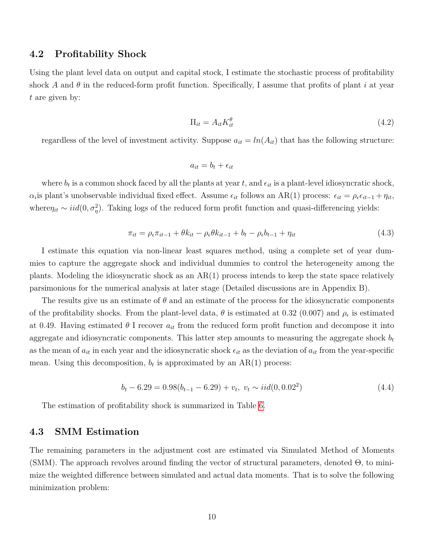### **4.2 Profitability Shock**

Using the plant level data on output and capital stock, I estimate the stochastic process of profitability shock *A* and *θ* in the reduced-form profit function. Specifically, I assume that profits of plant *i* at year *t* are given by:

$$
\Pi_{it} = A_{it} K_{it}^{\theta} \tag{4.2}
$$

regardless of the level of investment activity. Suppose  $a_{it} = ln(A_{it})$  that has the following structure:

$$
a_{it} = b_t + \epsilon_{it}
$$

where  $b_t$  is a common shock faced by all the plants at year  $t$ , and  $\epsilon_{it}$  is a plant-level idiosyncratic shock,  $\alpha_i$  is plant's unobservable individual fixed effect. Assume  $\epsilon_{it}$  follows an AR(1) process:  $\epsilon_{it} = \rho_{\epsilon} \epsilon_{it-1} + \eta_{it}$ , where $\eta_{it} \sim \text{iid}(0, \sigma_{\eta}^2)$ . Taking logs of the reduced form profit function and quasi-differencing yields:

$$
\pi_{it} = \rho_{\epsilon}\pi_{it-1} + \theta k_{it} - \rho_{\epsilon}\theta k_{it-1} + b_t - \rho_{\epsilon}b_{t-1} + \eta_{it}
$$
\n(4.3)

I estimate this equation via non-linear least squares method, using a complete set of year dummies to capture the aggregate shock and individual dummies to control the heterogeneity among the plants. Modeling the idiosyncratic shock as an  $AR(1)$  process intends to keep the state space relatively parsimonious for the numerical analysis at later stage (Detailed discussions are in Appendix B).

The results give us an estimate of  $\theta$  and an estimate of the process for the idiosyncratic components of the profitability shocks. From the plant-level data,  $\theta$  is estimated at 0.32 (0.007) and  $\rho_{\epsilon}$  is estimated at 0.49. Having estimated  $\theta$  I recover  $a_{it}$  from the reduced form profit function and decompose it into aggregate and idiosyncratic components. This latter step amounts to measuring the aggregate shock *b<sup>t</sup>* as the mean of  $a_{it}$  in each year and the idiosyncratic shock  $\epsilon_{it}$  as the deviation of  $a_{it}$  from the year-specific mean. Using this decomposition,  $b_t$  is approximated by an  $AR(1)$  process:

$$
b_t - 6.29 = 0.98(b_{t-1} - 6.29) + v_t, \ v_t \sim iid(0, 0.02^2)
$$
\n
$$
(4.4)
$$

The estimation of profitability shock is summarized in Table [6.](#page-22-3)

### **4.3 SMM Estimation**

The remaining parameters in the adjustment cost are estimated via Simulated Method of Moments (SMM). The approach revolves around finding the vector of structural parameters, denoted Θ, to minimize the weighted difference between simulated and actual data moments. That is to solve the following minimization problem: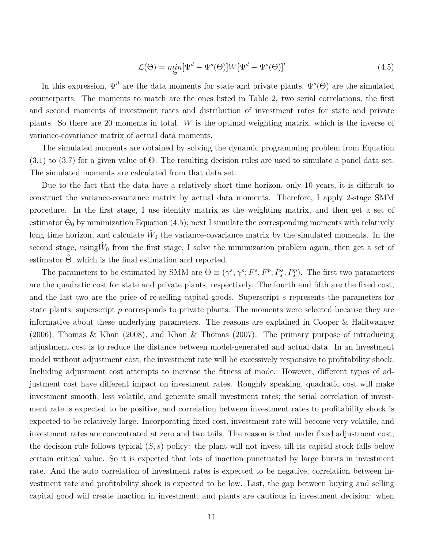$$
\mathcal{L}(\Theta) = \min_{\Theta} [\Psi^d - \Psi^s(\Theta)] W [\Psi^d - \Psi^s(\Theta)]'
$$
\n(4.5)

In this expression,  $\Psi^d$  are the data moments for state and private plants,  $\Psi^s(\Theta)$  are the simulated counterparts. The moments to match are the ones listed in Table 2, two serial correlations, the first and second moments of investment rates and distribution of investment rates for state and private plants. So there are 20 moments in total. *W* is the optimal weighting matrix, which is the inverse of variance-covariance matrix of actual data moments.

The simulated moments are obtained by solving the dynamic programming problem from Equation (3.1) to (3.7) for a given value of Θ. The resulting decision rules are used to simulate a panel data set. The simulated moments are calculated from that data set.

Due to the fact that the data have a relatively short time horizon, only 10 years, it is difficult to construct the variance-covariance matrix by actual data moments. Therefore, I apply 2-stage SMM procedure. In the first stage, I use identity matrix as the weighting matrix, and then get a set of  $\hat{\Theta}_0$  by minimization Equation (4.5); next I simulate the corresponding moments with relatively long time horizon, and calculate  $\hat{W}_0$  the variance-covariance matrix by the simulated moments. In the second stage, using  $\hat{W}_0$  from the first stage, I solve the minimization problem again, then get a set of estimator  $\Theta$ , which is the final estimation and reported.

The parameters to be estimated by SMM are  $\Theta \equiv (\gamma^s, \gamma^p; F^s, F^p; P_s^s, P_s^p)$ . The first two parameters are the quadratic cost for state and private plants, respectively. The fourth and fifth are the fixed cost, and the last two are the price of re-selling capital goods. Superscript *s* represents the parameters for state plants; superscript *p* corresponds to private plants. The moments were selected because they are informative about these underlying parameters. The reasons are explained in Cooper & Halitwanger (2006), Thomas & Khan (2008), and Khan & Thomas (2007). The primary purpose of introducing adjustment cost is to reduce the distance between model-generated and actual data. In an investment model without adjustment cost, the investment rate will be excessively responsive to profitability shock. Including adjustment cost attempts to increase the fitness of mode. However, different types of adjustment cost have different impact on investment rates. Roughly speaking, quadratic cost will make investment smooth, less volatile, and generate small investment rates; the serial correlation of investment rate is expected to be positive, and correlation between investment rates to profitability shock is expected to be relatively large. Incorporating fixed cost, investment rate will become very volatile, and investment rates are concentrated at zero and two tails. The reason is that under fixed adjustment cost, the decision rule follows typical (*S, s*) policy: the plant will not invest till its capital stock falls below certain critical value. So it is expected that lots of inaction punctuated by large bursts in investment rate. And the auto correlation of investment rates is expected to be negative, correlation between investment rate and profitability shock is expected to be low. Last, the gap between buying and selling capital good will create inaction in investment, and plants are cautious in investment decision: when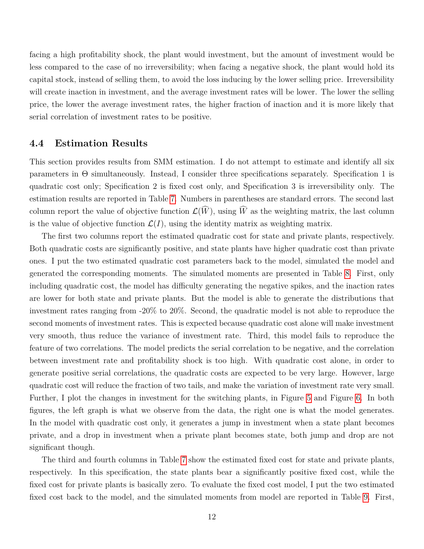facing a high profitability shock, the plant would investment, but the amount of investment would be less compared to the case of no irreversibility; when facing a negative shock, the plant would hold its capital stock, instead of selling them, to avoid the loss inducing by the lower selling price. Irreversibility will create inaction in investment, and the average investment rates will be lower. The lower the selling price, the lower the average investment rates, the higher fraction of inaction and it is more likely that serial correlation of investment rates to be positive.

### **4.4 Estimation Results**

This section provides results from SMM estimation. I do not attempt to estimate and identify all six parameters in Θ simultaneously. Instead, I consider three specifications separately. Specification 1 is quadratic cost only; Specification 2 is fixed cost only, and Specification 3 is irreversibility only. The estimation results are reported in Table [7.](#page-23-0) Numbers in parentheses are standard errors. The second last column report the value of objective function  $\mathcal{L}(\widehat{W})$ , using  $\widehat{W}$  as the weighting matrix, the last column is the value of objective function  $\mathcal{L}(I)$ , using the identity matrix as weighting matrix.

The first two columns report the estimated quadratic cost for state and private plants, respectively. Both quadratic costs are significantly positive, and state plants have higher quadratic cost than private ones. I put the two estimated quadratic cost parameters back to the model, simulated the model and generated the corresponding moments. The simulated moments are presented in Table [8.](#page-23-1) First, only including quadratic cost, the model has difficulty generating the negative spikes, and the inaction rates are lower for both state and private plants. But the model is able to generate the distributions that investment rates ranging from -20% to 20%. Second, the quadratic model is not able to reproduce the second moments of investment rates. This is expected because quadratic cost alone will make investment very smooth, thus reduce the variance of investment rate. Third, this model fails to reproduce the feature of two correlations. The model predicts the serial correlation to be negative, and the correlation between investment rate and profitability shock is too high. With quadratic cost alone, in order to generate positive serial correlations, the quadratic costs are expected to be very large. However, large quadratic cost will reduce the fraction of two tails, and make the variation of investment rate very small. Further, I plot the changes in investment for the switching plants, in Figure [5](#page-31-0) and Figure [6.](#page-32-0) In both figures, the left graph is what we observe from the data, the right one is what the model generates. In the model with quadratic cost only, it generates a jump in investment when a state plant becomes private, and a drop in investment when a private plant becomes state, both jump and drop are not significant though.

The third and fourth columns in Table [7](#page-23-0) show the estimated fixed cost for state and private plants, respectively. In this specification, the state plants bear a significantly positive fixed cost, while the fixed cost for private plants is basically zero. To evaluate the fixed cost model, I put the two estimated fixed cost back to the model, and the simulated moments from model are reported in Table [9.](#page-24-0) First,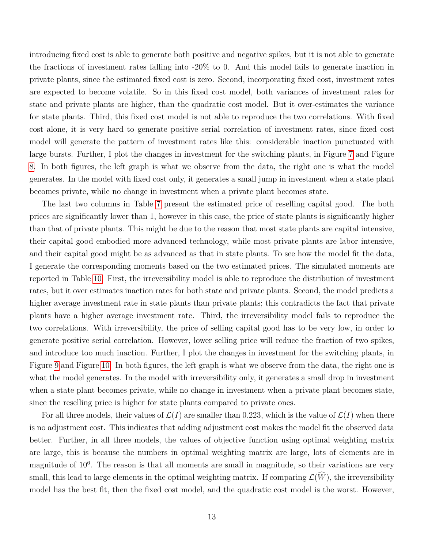introducing fixed cost is able to generate both positive and negative spikes, but it is not able to generate the fractions of investment rates falling into -20% to 0. And this model fails to generate inaction in private plants, since the estimated fixed cost is zero. Second, incorporating fixed cost, investment rates are expected to become volatile. So in this fixed cost model, both variances of investment rates for state and private plants are higher, than the quadratic cost model. But it over-estimates the variance for state plants. Third, this fixed cost model is not able to reproduce the two correlations. With fixed cost alone, it is very hard to generate positive serial correlation of investment rates, since fixed cost model will generate the pattern of investment rates like this: considerable inaction punctuated with large bursts. Further, I plot the changes in investment for the switching plants, in Figure [7](#page-33-0) and Figure [8.](#page-34-0) In both figures, the left graph is what we observe from the data, the right one is what the model generates. In the model with fixed cost only, it generates a small jump in investment when a state plant becomes private, while no change in investment when a private plant becomes state.

The last two columns in Table [7](#page-23-0) present the estimated price of reselling capital good. The both prices are significantly lower than 1, however in this case, the price of state plants is significantly higher than that of private plants. This might be due to the reason that most state plants are capital intensive, their capital good embodied more advanced technology, while most private plants are labor intensive, and their capital good might be as advanced as that in state plants. To see how the model fit the data, I generate the corresponding moments based on the two estimated prices. The simulated moments are reported in Table [10.](#page-25-0) First, the irreversibility model is able to reproduce the distribution of investment rates, but it over estimates inaction rates for both state and private plants. Second, the model predicts a higher average investment rate in state plants than private plants; this contradicts the fact that private plants have a higher average investment rate. Third, the irreversibility model fails to reproduce the two correlations. With irreversibility, the price of selling capital good has to be very low, in order to generate positive serial correlation. However, lower selling price will reduce the fraction of two spikes, and introduce too much inaction. Further, I plot the changes in investment for the switching plants, in Figure [9](#page-35-0) and Figure [10.](#page-36-0) In both figures, the left graph is what we observe from the data, the right one is what the model generates. In the model with irreversibility only, it generates a small drop in investment when a state plant becomes private, while no change in investment when a private plant becomes state, since the reselling price is higher for state plants compared to private ones.

For all three models, their values of  $\mathcal{L}(I)$  are smaller than 0.223, which is the value of  $\mathcal{L}(I)$  when there is no adjustment cost. This indicates that adding adjustment cost makes the model fit the observed data better. Further, in all three models, the values of objective function using optimal weighting matrix are large, this is because the numbers in optimal weighting matrix are large, lots of elements are in magnitude of 10<sup>6</sup>. The reason is that all moments are small in magnitude, so their variations are very small, this lead to large elements in the optimal weighting matrix. If comparing  $\mathcal{L}(\widehat{W})$ , the irreversibility model has the best fit, then the fixed cost model, and the quadratic cost model is the worst. However,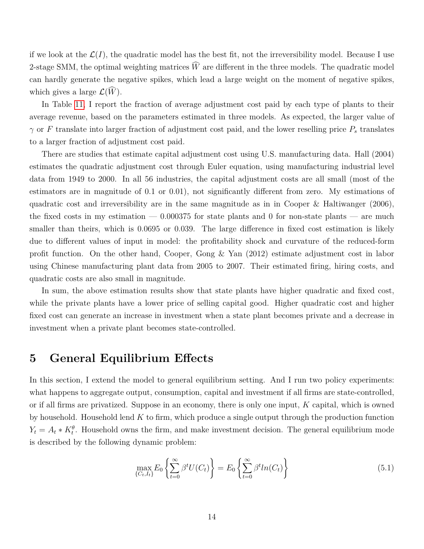if we look at the  $\mathcal{L}(I)$ , the quadratic model has the best fit, not the irreversibility model. Because I use 2-stage SMM, the optimal weighting matrices  $\widehat{W}$  are different in the three models. The quadratic model can hardly generate the negative spikes, which lead a large weight on the moment of negative spikes, which gives a large  $\mathcal{L}(\widehat{W})$ .

In Table [11,](#page-25-1) I report the fraction of average adjustment cost paid by each type of plants to their average revenue, based on the parameters estimated in three models. As expected, the larger value of *γ* or *F* translate into larger fraction of adjustment cost paid, and the lower reselling price *P<sup>s</sup>* translates to a larger fraction of adjustment cost paid.

There are studies that estimate capital adjustment cost using U.S. manufacturing data. Hall (2004) estimates the quadratic adjustment cost through Euler equation, using manufacturing industrial level data from 1949 to 2000. In all 56 industries, the capital adjustment costs are all small (most of the estimators are in magnitude of 0.1 or 0.01), not significantly different from zero. My estimations of quadratic cost and irreversibility are in the same magnitude as in in Cooper  $\&$  Haltiwanger (2006), the fixed costs in my estimation — 0*.*000375 for state plants and 0 for non-state plants — are much smaller than theirs, which is 0*.*0695 or 0*.*039. The large difference in fixed cost estimation is likely due to different values of input in model: the profitability shock and curvature of the reduced-form profit function. On the other hand, Cooper, Gong & Yan (2012) estimate adjustment cost in labor using Chinese manufacturing plant data from 2005 to 2007. Their estimated firing, hiring costs, and quadratic costs are also small in magnitude.

In sum, the above estimation results show that state plants have higher quadratic and fixed cost, while the private plants have a lower price of selling capital good. Higher quadratic cost and higher fixed cost can generate an increase in investment when a state plant becomes private and a decrease in investment when a private plant becomes state-controlled.

## **5 General Equilibrium Effects**

In this section, I extend the model to general equilibrium setting. And I run two policy experiments: what happens to aggregate output, consumption, capital and investment if all firms are state-controlled, or if all firms are privatized. Suppose in an economy, there is only one input, *K* capital, which is owned by household. Household lend *K* to firm, which produce a single output through the production function  $Y_t = A_t * K_t^{\theta}$ . Household owns the firm, and make investment decision. The general equilibrium mode is described by the following dynamic problem:

$$
\max_{\{C_t, I_t\}} E_0 \left\{ \sum_{t=0}^{\infty} \beta^t U(C_t) \right\} = E_0 \left\{ \sum_{t=0}^{\infty} \beta^t ln(C_t) \right\} \tag{5.1}
$$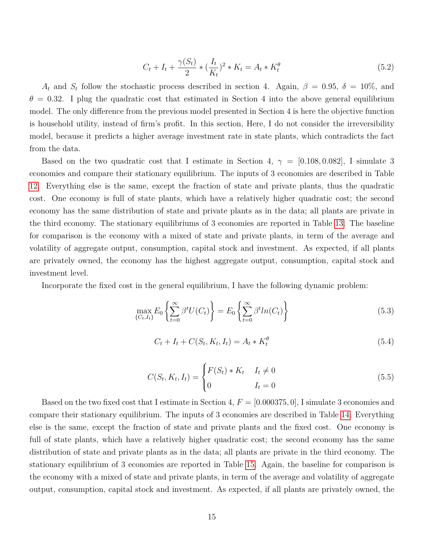$$
C_t + I_t + \frac{\gamma(S_t)}{2} * (\frac{I_t}{K_t})^2 * K_t = A_t * K_t^{\theta}
$$
\n(5.2)

*A*<sup>t</sup> and *S*<sup>t</sup> follow the stochastic process described in section 4. Again,  $\beta = 0.95$ ,  $\delta = 10\%$ , and  $\theta = 0.32$ . I plug the quadratic cost that estimated in Section 4 into the above general equilibrium model. The only difference from the previous model presented in Section 4 is here the objective function is household utility, instead of firm's profit. In this section, Here, I do not consider the irreversibility model, because it predicts a higher average investment rate in state plants, which contradicts the fact from the data.

Based on the two quadratic cost that I estimate in Section 4,  $\gamma = [0.108, 0.082]$ , I simulate 3 economies and compare their stationary equilibrium. The inputs of 3 economies are described in Table [12.](#page-26-0) Everything else is the same, except the fraction of state and private plants, thus the quadratic cost. One economy is full of state plants, which have a relatively higher quadratic cost; the second economy has the same distribution of state and private plants as in the data; all plants are private in the third economy. The stationary equilibriums of 3 economies are reported in Table [13.](#page-26-1) The baseline for comparison is the economy with a mixed of state and private plants, in term of the average and volatility of aggregate output, consumption, capital stock and investment. As expected, if all plants are privately owned, the economy has the highest aggregate output, consumption, capital stock and investment level.

Incorporate the fixed cost in the general equilibrium, I have the following dynamic problem:

$$
\max_{\{C_t, I_t\}} E_0 \left\{ \sum_{t=0}^{\infty} \beta^t U(C_t) \right\} = E_0 \left\{ \sum_{t=0}^{\infty} \beta^t ln(C_t) \right\} \tag{5.3}
$$

$$
C_t + I_t + C(S_t, K_t, I_t) = A_t * K_t^{\theta}
$$
\n(5.4)

$$
C(S_t, K_t, I_t) = \begin{cases} F(S_t) * K_t & I_t \neq 0 \\ 0 & I_t = 0 \end{cases}
$$
 (5.5)

Based on the two fixed cost that I estimate in Section 4, *F* = [0*.*000375*,* 0], I simulate 3 economies and compare their stationary equilibrium. The inputs of 3 economies are described in Table [14.](#page-27-0) Everything else is the same, except the fraction of state and private plants and the fixed cost. One economy is full of state plants, which have a relatively higher quadratic cost; the second economy has the same distribution of state and private plants as in the data; all plants are private in the third economy. The stationary equilibrium of 3 economies are reported in Table [15.](#page-27-1) Again, the baseline for comparison is the economy with a mixed of state and private plants, in term of the average and volatility of aggregate output, consumption, capital stock and investment. As expected, if all plants are privately owned, the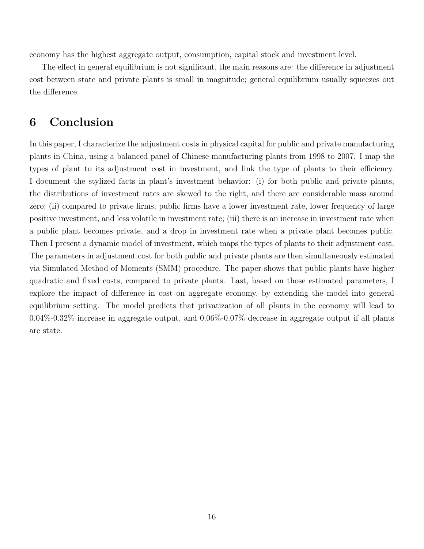economy has the highest aggregate output, consumption, capital stock and investment level.

The effect in general equilibrium is not significant, the main reasons are: the difference in adjustment cost between state and private plants is small in magnitude; general equilibrium usually squeezes out the difference.

# **6 Conclusion**

In this paper, I characterize the adjustment costs in physical capital for public and private manufacturing plants in China, using a balanced panel of Chinese manufacturing plants from 1998 to 2007. I map the types of plant to its adjustment cost in investment, and link the type of plants to their efficiency. I document the stylized facts in plant's investment behavior: (i) for both public and private plants, the distributions of investment rates are skewed to the right, and there are considerable mass around zero; (ii) compared to private firms, public firms have a lower investment rate, lower frequency of large positive investment, and less volatile in investment rate; (iii) there is an increase in investment rate when a public plant becomes private, and a drop in investment rate when a private plant becomes public. Then I present a dynamic model of investment, which maps the types of plants to their adjustment cost. The parameters in adjustment cost for both public and private plants are then simultaneously estimated via Simulated Method of Moments (SMM) procedure. The paper shows that public plants have higher quadratic and fixed costs, compared to private plants. Last, based on those estimated parameters, I explore the impact of difference in cost on aggregate economy, by extending the model into general equilibrium setting. The model predicts that privatization of all plants in the economy will lead to 0.04%-0.32% increase in aggregate output, and 0.06%-0.07% decrease in aggregate output if all plants are state.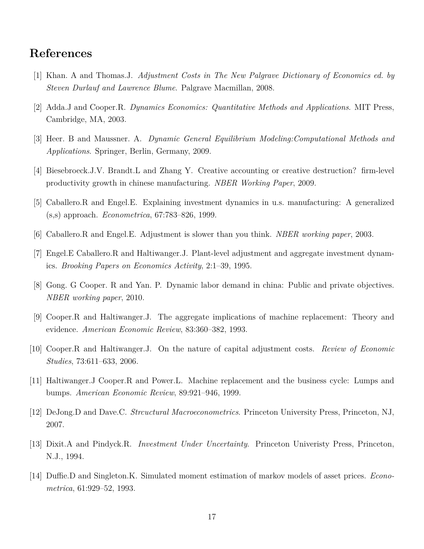# **References**

- [1] Khan. A and Thomas.J. *Adjustment Costs in The New Palgrave Dictionary of Economics ed. by Steven Durlauf and Lawrence Blume*. Palgrave Macmillan, 2008.
- [2] Adda.J and Cooper.R. *Dynamics Economics: Quantitative Methods and Applications*. MIT Press, Cambridge, MA, 2003.
- [3] Heer. B and Maussner. A. *Dynamic General Equilibrium Modeling:Computational Methods and Applications*. Springer, Berlin, Germany, 2009.
- [4] Biesebroeck.J.V. Brandt.L and Zhang Y. Creative accounting or creative destruction? firm-level productivity growth in chinese manufacturing. *NBER Working Paper*, 2009.
- [5] Caballero.R and Engel.E. Explaining investment dynamics in u.s. manufacturing: A generalized (s,s) approach. *Econometrica*, 67:783–826, 1999.
- [6] Caballero.R and Engel.E. Adjustment is slower than you think. *NBER working paper*, 2003.
- [7] Engel.E Caballero.R and Haltiwanger.J. Plant-level adjustment and aggregate investment dynamics. *Brooking Papers on Economics Activity*, 2:1–39, 1995.
- [8] Gong. G Cooper. R and Yan. P. Dynamic labor demand in china: Public and private objectives. *NBER working paper*, 2010.
- [9] Cooper.R and Haltiwanger.J. The aggregate implications of machine replacement: Theory and evidence. *American Economic Review*, 83:360–382, 1993.
- [10] Cooper.R and Haltiwanger.J. On the nature of capital adjustment costs. *Review of Economic Studies*, 73:611–633, 2006.
- [11] Haltiwanger.J Cooper.R and Power.L. Machine replacement and the business cycle: Lumps and bumps. *American Economic Review*, 89:921–946, 1999.
- [12] DeJong.D and Dave.C. *Strcuctural Macroeconometrics*. Princeton University Press, Princeton, NJ, 2007.
- [13] Dixit.A and Pindyck.R. *Investment Under Uncertainty*. Princeton Univeristy Press, Princeton, N.J., 1994.
- [14] Duffie.D and Singleton.K. Simulated moment estimation of markov models of asset prices. *Econometrica*, 61:929–52, 1993.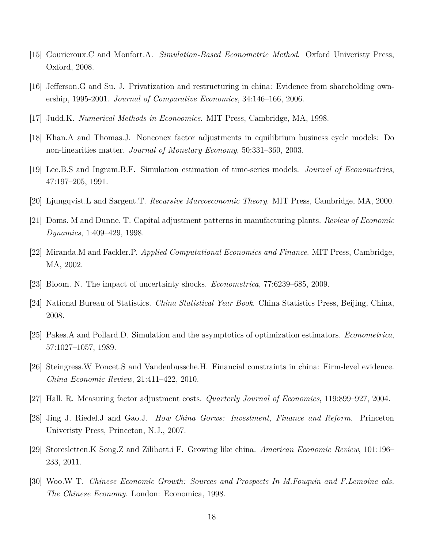- [15] Gourieroux.C and Monfort.A. *Simulation-Based Econometric Method*. Oxford Univeristy Press, Oxford, 2008.
- [16] Jefferson.G and Su. J. Privatization and restructuring in china: Evidence from shareholding ownership, 1995-2001. *Journal of Comparative Economics*, 34:146–166, 2006.
- [17] Judd.K. *Numerical Methods in Econoomics*. MIT Press, Cambridge, MA, 1998.
- [18] Khan.A and Thomas.J. Nonconex factor adjustments in equilibrium business cycle models: Do non-linearities matter. *Journal of Monetary Economy*, 50:331–360, 2003.
- [19] Lee.B.S and Ingram.B.F. Simulation estimation of time-series models. *Journal of Econometrics*, 47:197–205, 1991.
- [20] Ljungqvist.L and Sargent.T. *Recursive Marcoeconomic Theory*. MIT Press, Cambridge, MA, 2000.
- [21] Doms. M and Dunne. T. Capital adjustment patterns in manufacturing plants. *Review of Economic Dynamics*, 1:409–429, 1998.
- [22] Miranda.M and Fackler.P. *Applied Computational Economics and Finance*. MIT Press, Cambridge, MA, 2002.
- [23] Bloom. N. The impact of uncertainty shocks. *Econometrica*, 77:6239–685, 2009.
- [24] National Bureau of Statistics. *China Statistical Year Book*. China Statistics Press, Beijing, China, 2008.
- [25] Pakes.A and Pollard.D. Simulation and the asymptotics of optimization estimators. *Econometrica*, 57:1027–1057, 1989.
- [26] Steingress.W Poncet.S and Vandenbussche.H. Financial constraints in china: Firm-level evidence. *China Economic Review*, 21:411–422, 2010.
- [27] Hall. R. Measuring factor adjustment costs. *Quarterly Journal of Economics*, 119:899–927, 2004.
- [28] Jing J. Riedel.J and Gao.J. *How China Gorws: Investment, Finance and Reform*. Princeton Univeristy Press, Princeton, N.J., 2007.
- [29] Storesletten.K Song.Z and Zilibott.i F. Growing like china. *American Economic Review*, 101:196– 233, 2011.
- [30] Woo.W T. *Chinese Economic Growth: Sources and Prospects In M.Fouquin and F.Lemoine eds. The Chinese Economy*. London: Economica, 1998.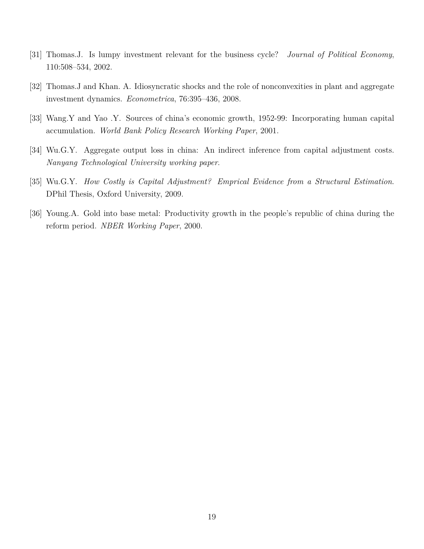- [31] Thomas.J. Is lumpy investment relevant for the business cycle? *Journal of Political Economy*, 110:508–534, 2002.
- [32] Thomas.J and Khan. A. Idiosyncratic shocks and the role of nonconvexities in plant and aggregate investment dynamics. *Econometrica*, 76:395–436, 2008.
- [33] Wang.Y and Yao .Y. Sources of china's economic growth, 1952-99: Incorporating human capital accumulation. *World Bank Policy Research Working Paper*, 2001.
- [34] Wu.G.Y. Aggregate output loss in china: An indirect inference from capital adjustment costs. *Nanyang Technological University working paper*.
- [35] Wu.G.Y. *How Costly is Capital Adjustment? Emprical Evidence from a Structural Estimation*. DPhil Thesis, Oxford University, 2009.
- [36] Young.A. Gold into base metal: Productivity growth in the people's republic of china during the reform period. *NBER Working Paper*, 2000.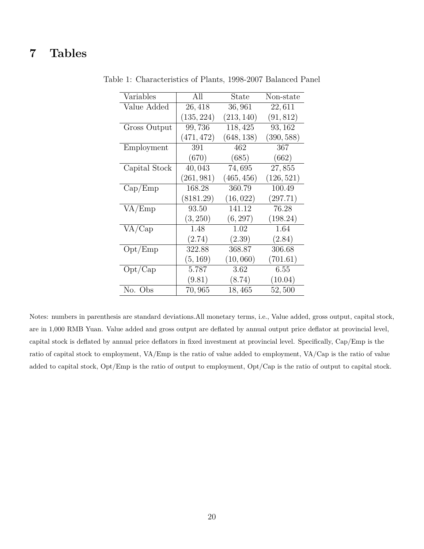# <span id="page-20-0"></span>**7 Tables**

| Variables                   | All                 | State      | Non-state  |
|-----------------------------|---------------------|------------|------------|
| Value Added                 | 26,418              | 36,961     | 22,611     |
|                             | (135, 224)          | (213, 140) | (91, 812)  |
| Gross Output                | $\overline{9}9,736$ | 118,425    | 93, 162    |
|                             | (471, 472)          | (648, 138) | (390, 588) |
| Employment                  | 391                 | 462        | 367        |
|                             | (670)               | (685)      | (662)      |
| Capital Stock               | 40,043              | 74,695     | 27,855     |
|                             | (261, 981)          | (465, 456) | (126, 521) |
| Cap/Emp                     | 168.28              | 360.79     | 100.49     |
|                             | (8181.29)           | (16, 022)  | (297.71)   |
| VA/Emp                      | 93.50               | 141.12     | 76.28      |
|                             | (3, 250)            | (6, 297)   | (198.24)   |
| VA/Cap                      | 1.48                | 1.02       | 1.64       |
|                             | (2.74)              | (2.39)     | (2.84)     |
| $\mathrm{Opt}/\mathrm{Emp}$ | 322.88              | 368.87     | 306.68     |
|                             | (5, 169)            | (10, 060)  | (701.61)   |
| Opt/Cap                     | 5.787               | 3.62       | 6.55       |
|                             | (9.81)              | (8.74)     | (10.04)    |
| No. Obs                     | 70,965              | 18,465     | 52,500     |

Table 1: Characteristics of Plants, 1998-2007 Balanced Panel

Notes: numbers in parenthesis are standard deviations.All monetary terms, i.e., Value added, gross output, capital stock, are in 1,000 RMB Yuan. Value added and gross output are deflated by annual output price deflator at provincial level, capital stock is deflated by annual price deflators in fixed investment at provincial level. Specifically, Cap/Emp is the ratio of capital stock to employment, VA/Emp is the ratio of value added to employment, VA/Cap is the ratio of value added to capital stock, Opt/Emp is the ratio of output to employment, Opt/Cap is the ratio of output to capital stock.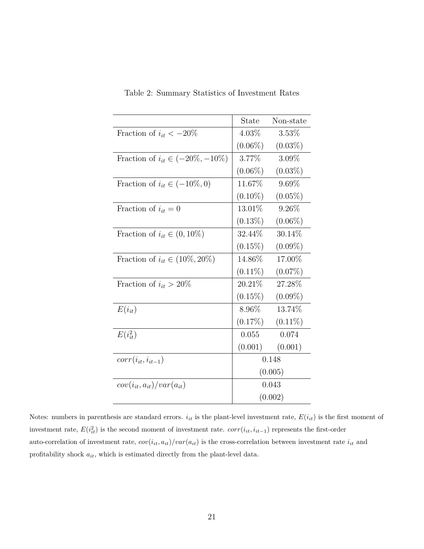<span id="page-21-0"></span>

|                                         | State      | Non-state  |  |  |
|-----------------------------------------|------------|------------|--|--|
| Fraction of $i_{it} < -20\%$            | $4.03\%$   | $3.53\%$   |  |  |
|                                         | $(0.06\%)$ | $(0.03\%)$ |  |  |
| Fraction of $i_{it} \in (-20\%, -10\%)$ | 3.77%      | $3.09\%$   |  |  |
|                                         | $(0.06\%)$ | $(0.03\%)$ |  |  |
| Fraction of $i_{it} \in (-10\%, 0)$     | 11.67%     | $9.69\%$   |  |  |
|                                         | $(0.10\%)$ | $(0.05\%)$ |  |  |
| Fraction of $i_{it} = 0$                | 13.01\%    | $9.26\%$   |  |  |
|                                         | $(0.13\%)$ | $(0.06\%)$ |  |  |
| Fraction of $i_{it} \in (0, 10\%)$      | 32.44\%    | $30.14\%$  |  |  |
|                                         | $(0.15\%)$ | $(0.09\%)$ |  |  |
| Fraction of $i_{it} \in (10\%, 20\%)$   | 14.86%     | 17.00%     |  |  |
|                                         | $(0.11\%)$ | $(0.07\%)$ |  |  |
| Fraction of $i_{it} > 20\%$             | 20.21\%    | 27.28%     |  |  |
|                                         | $(0.15\%)$ | $(0.09\%)$ |  |  |
| $E(i_{it})$                             | $8.96\%$   | 13.74%     |  |  |
|                                         | $(0.17\%)$ | $(0.11\%)$ |  |  |
| $E(i_{it}^2)$                           | 0.055      | 0.074      |  |  |
|                                         | (0.001)    | (0.001)    |  |  |
| $corr(i_{it}, i_{it-1})$                | 0.148      |            |  |  |
|                                         | (0.005)    |            |  |  |
| $cov(i_{it}, a_{it})/var(a_{it})$       |            | 0.043      |  |  |
|                                         |            | (0.002)    |  |  |

Table 2: Summary Statistics of Investment Rates

Notes: numbers in parenthesis are standard errors.  $i_{it}$  is the plant-level investment rate,  $E(i_{it})$  is the first moment of investment rate,  $E(i_{it}^2)$  is the second moment of investment rate.  $corr(i_{it}, i_{it-1})$  represents the first-order auto-correlation of investment rate,  $cov(i_{it}, a_{it})/var(a_{it})$  is the cross-correlation between investment rate  $i_{it}$  and profitability shock  $a_{it}$ , which is estimated directly from the plant-level data.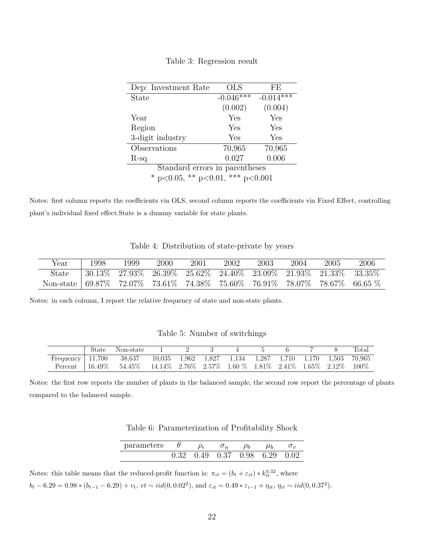<span id="page-22-0"></span>

| Dep: Investment Rate             | <b>OLS</b>  | FE          |  |  |  |  |  |
|----------------------------------|-------------|-------------|--|--|--|--|--|
| State                            | $-0.046***$ | $-0.014***$ |  |  |  |  |  |
|                                  | (0.002)     | (0.004)     |  |  |  |  |  |
| Year                             | Yes         | Yes         |  |  |  |  |  |
| Region                           | Yes         | Yes         |  |  |  |  |  |
| 3-digit industry                 | Yes         | Yes         |  |  |  |  |  |
| Observations                     | 70,965      | 70,965      |  |  |  |  |  |
| $R$ -sq                          | 0.027       | 0.006       |  |  |  |  |  |
| Standard errors in parentheses   |             |             |  |  |  |  |  |
| * p<0.05, ** p<0.01, *** p<0.001 |             |             |  |  |  |  |  |

Notes: first column reports the coefficients via OLS, second column reports the coefficients via Fixed Effect, controlling plant's individual fixed effect.State is a dummy variable for state plants.

| Table 4: Distribution of state-private by years |  |  |
|-------------------------------------------------|--|--|
|                                                 |  |  |

<span id="page-22-1"></span>

| Year                                                                      | 1998 | 1999 | 2000                                                                                                                           | 2001 | 2002 | 2003 | 2004 | 2005 | 2006 |
|---------------------------------------------------------------------------|------|------|--------------------------------------------------------------------------------------------------------------------------------|------|------|------|------|------|------|
| <b>State</b>                                                              |      |      | $\mid 30.13\% \quad 27.93\% \quad 26.39\% \quad 25.62\% \quad 24.40\% \quad 23.09\% \quad 21.93\% \quad 21.33\% \quad 33.35\%$ |      |      |      |      |      |      |
| Non-state 69.87% 72.07% 73.61% 74.38% 75.60% 76.91% 78.07% 78.67% 66.65 % |      |      |                                                                                                                                |      |      |      |      |      |      |

Notes: in each column, I report the relative frequency of state and non-state plants.

<span id="page-22-2"></span>

| State | Non-state                                                                                   |  |  |  |  | Total |
|-------|---------------------------------------------------------------------------------------------|--|--|--|--|-------|
|       | Frequency 11,700 38,637 10,035 1,962 1,827 1,134 1,287 1,710 1,170 1,503 70,965             |  |  |  |  |       |
|       | Percent   $16.49\%$ 54.45\% 14.14\% 2.76\% 2.57\% 1.60 \% 1.81\% 2.41\% 1.65\% 2.12\% 100\% |  |  |  |  |       |

<span id="page-22-3"></span>Notes: the first row reports the number of plants in the balanced sample, the second row report the percentage of plants compared to the balanced sample.

| Table 6: Parameterization of Profitability Shock |  |
|--------------------------------------------------|--|
|                                                  |  |

| parameters $\theta$ . |  | $-\sigma_n$                                                   | $\rho_b$ $\mu_b$ |  |
|-----------------------|--|---------------------------------------------------------------|------------------|--|
|                       |  | $0.32 \quad 0.49 \quad 0.37 \quad 0.98 \quad 6.29 \quad 0.02$ |                  |  |

Notes: this table means that the reduced-profit function is:  $\pi_{it} = (b_t + \varepsilon_{it}) * k_{it}^{0.32}$ , where  $b_t - 6.29 = 0.98 * (b_{t-1} - 6.29) + v_t$ ,  $vt \sim iid(0, 0.02^2)$ , and  $\varepsilon_{it} = 0.49 * \varepsilon_{i-1} + \eta_{it}$ ,  $\eta_{it} \sim iid(0, 0.37^2)$ .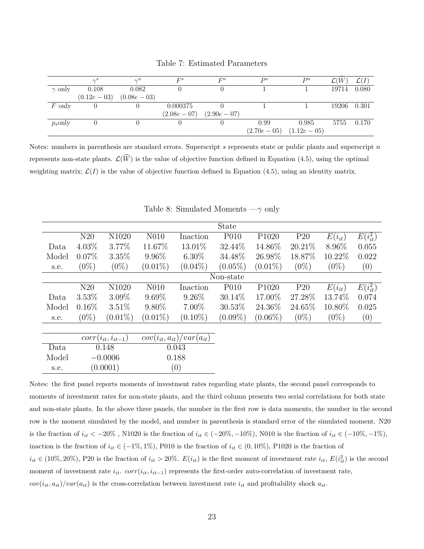<span id="page-23-0"></span>

|               | $\sim^s$     | $\gamma^n$   | $F^s$        | $F^n$        | $_{Ds}$                   | $D^n$ | $\mathcal{L}(W)$ | $\mathcal{L}(I)$ |
|---------------|--------------|--------------|--------------|--------------|---------------------------|-------|------------------|------------------|
| $\gamma$ only | 0.108        | 0.082        |              |              |                           |       | 19714            | 0.080            |
|               | $(0.12e-03)$ | $(0.08e-03)$ |              |              |                           |       |                  |                  |
| $F$ only      |              |              | 0.000375     |              |                           |       | 19206            | 0.301            |
|               |              |              | $(2.08e-07)$ | $(2.90e-07)$ |                           |       |                  |                  |
| $p_s$ only    |              |              |              |              | 0.99                      | 0.985 | 5755             | 0.170            |
|               |              |              |              |              | $(2.70e-05)$ $(1.12e-05)$ |       |                  |                  |

Table 7: Estimated Parameters

Notes: numbers in parenthesis are standard errors. Superscript *s* represents state or public plants and superscript *n* represents non-state plants.  $\mathcal{L}(\widehat{W})$  is the value of objective function defined in Equation (4.5), using the optimal weighting matrix;  $\mathcal{L}(I)$  is the value of objective function defined in Equation (4.5), using an identity matrix.

<span id="page-23-1"></span>

|       |          |            |            |            | <b>State</b> |                   |                 |             |               |
|-------|----------|------------|------------|------------|--------------|-------------------|-----------------|-------------|---------------|
|       | N20      | N1020      | N010       | Inaction   | P010         | P <sub>1020</sub> | P <sub>20</sub> | $E(i_{it})$ | $E(i_{it}^2)$ |
| Data  | $4.03\%$ | 3.77%      | 11.67%     | 13.01\%    | 32.44\%      | 14.86%            | 20.21\%         | 8.96\%      | 0.055         |
| Model | $0.07\%$ | 3.35%      | $9.96\%$   | $6.30\%$   | 34.48%       | 26.98%            | 18.87%          | 10.22%      | 0.022         |
| s.e.  | $(0\%)$  | $(0\%)$    | $(0.01\%)$ | $(0.04\%)$ | $(0.05\%)$   | $(0.01\%)$        | $(0\%)$         | $(0\%)$     | (0)           |
|       |          |            |            |            | Non-state    |                   |                 |             |               |
|       | N20      | N1020      | N010       | Inaction   | P010         | P <sub>1020</sub> | P20             | $E(i_{it})$ | $E(i_{it}^2)$ |
| Data  | 3.53%    | $3.09\%$   | $9.69\%$   | $9.26\%$   | $30.14\%$    | 17.00%            | 27.28%          | 13.74%      | 0.074         |
| Model | $0.16\%$ | 3.51%      | $9.80\%$   | $7.00\%$   | 30.53%       | 24.36%            | 24.65%          | 10.80\%     | 0.025         |
| s.e.  | $(0\%)$  | $(0.01\%)$ | $(0.01\%)$ | $(0.10\%)$ | $(0.09\%)$   | $(0.06\%)$        | $(0\%)$         | $(0\%)$     | (0)           |
|       |          |            |            |            |              |                   |                 |             |               |

| Table 8: Simulated Moments $-\gamma$ only |  |  |  |  |
|-------------------------------------------|--|--|--|--|
|-------------------------------------------|--|--|--|--|

|       | $corr(i_{it}, i_{it-1})$ | $cov(i_{it}, a_{it})/var(a_{it})$ |
|-------|--------------------------|-----------------------------------|
| Data  | 0.148                    | 0.043                             |
| Model | $-0.0006$                | 0.188                             |
| s.e.  | (0.0001)                 | (0)                               |

Notes: the first panel reports moments of investment rates regarding state plants, the second panel corresponds to moments of investment rates for non-state plants, and the third column presents two serial correlations for both state and non-state plants. In the above three panels, the number in the first row is data moments, the number in the second row is the moment simulated by the model, and number in parenthesis is standard error of the simulated moment. N20 is the fraction of  $i_{it} < -20\%$ , N1020 is the fraction of  $i_{it} \in (-20\%, -10\%)$ , N010 is the fraction of  $i_{it} \in (-10\%, -1\%)$ , inaction is the fraction of  $i_{it} \in (-1\%, 1\%)$ , P010 is the fraction of  $i_{it} \in (0, 10\%)$ , P1020 is the fraction of  $i_{it} \in (10\%, 20\%)$ , P20 is the fraction of  $i_{it} > 20\%$ .  $E(i_{it})$  is the first moment of investment rate  $i_{it}$ ,  $E(i_{it}^2)$  is the second moment of investment rate  $i_{it}$ *, corr*( $i_{it}$ ,  $i_{it-1}$ ) represents the first-order auto-correlation of investment rate,  $cov(i_{it}, a_{it})/var(a_{it})$  is the cross-correlation between investment rate  $i_{it}$  and profitability shock  $a_{it}$ .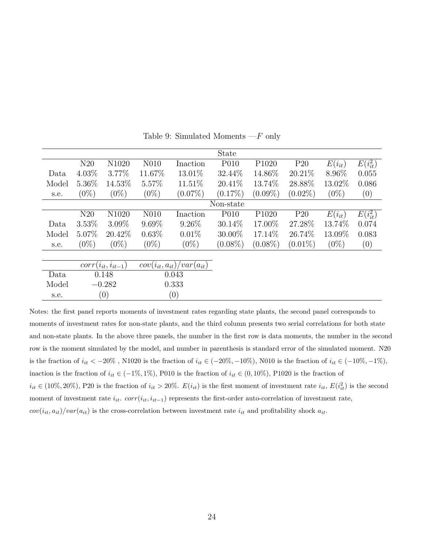<span id="page-24-0"></span>

|       |          |                          |                   |                                   | State            |                   |                 |             |               |
|-------|----------|--------------------------|-------------------|-----------------------------------|------------------|-------------------|-----------------|-------------|---------------|
|       | N20      | N1020                    | N <sub>0</sub> 10 | Inaction                          | P <sub>010</sub> | P <sub>1020</sub> | P <sub>20</sub> | $E(i_{it})$ | $E(i_{it}^2)$ |
| Data  | $4.03\%$ | $3.77\%$                 | 11.67%            | 13.01%                            | 32.44\%          | 14.86%            | 20.21\%         | 8.96%       | 0.055         |
| Model | 5.36%    | 14.53%                   | 5.57%             | 11.51\%                           | $20.41\%$        | 13.74\%           | 28.88%          | 13.02%      | 0.086         |
| s.e.  | $(0\%)$  | $(0\%)$                  | $(0\%)$           | $(0.07\%)$                        | $(0.17\%)$       | $(0.09\%)$        | $(0.02\%)$      | $(0\%)$     | (0)           |
|       |          |                          |                   |                                   | Non-state        |                   |                 |             |               |
|       | N20      | N1020                    | N <sub>0</sub> 10 | Inaction                          | P010             | P <sub>1020</sub> | P <sub>20</sub> | $E(i_{it})$ | $E(i_{it}^2)$ |
| Data  | 3.53%    | $3.09\%$                 | $9.69\%$          | $9.26\%$                          | $30.14\%$        | 17.00%            | 27.28%          | 13.74%      | 0.074         |
| Model | 5.07\%   | 20.42\%                  | $0.63\%$          | $0.01\%$                          | $30.00\%$        | 17.14\%           | 26.74\%         | 13.09%      | 0.083         |
| s.e.  | $(0\%)$  | $(0\%)$                  | $(0\%)$           | $(0\%)$                           | $(0.08\%)$       | $(0.08\%)$        | $(0.01\%)$      | $(0\%)$     | (0)           |
|       |          |                          |                   |                                   |                  |                   |                 |             |               |
|       |          | $corr(i_{it}, i_{it-1})$ |                   | $cov(i_{it}, a_{it})/var(a_{it})$ |                  |                   |                 |             |               |
| Data  |          | 0.148                    |                   | 0.043                             |                  |                   |                 |             |               |
| Model |          | $-0.282$                 |                   | 0.333                             |                  |                   |                 |             |               |
| s.e.  |          | $\left(0\right)$         |                   | (0)                               |                  |                   |                 |             |               |

Table 9: Simulated Moments —*F* only

Notes: the first panel reports moments of investment rates regarding state plants, the second panel corresponds to moments of investment rates for non-state plants, and the third column presents two serial correlations for both state and non-state plants. In the above three panels, the number in the first row is data moments, the number in the second row is the moment simulated by the model, and number in parenthesis is standard error of the simulated moment. N20 is the fraction of  $i_{it} < -20\%$ , N1020 is the fraction of  $i_{it} \in (-20\%, -10\%)$ , N010 is the fraction of  $i_{it} \in (-10\%, -1\%)$ , inaction is the fraction of  $i_{it} \in (-1\%, 1\%)$ , P010 is the fraction of  $i_{it} \in (0, 10\%)$ , P1020 is the fraction of  $i_{it} \in (10\%, 20\%)$ , P20 is the fraction of  $i_{it} > 20\%$ .  $E(i_{it})$  is the first moment of investment rate  $i_{it}$ ,  $E(i_{it}^2)$  is the second moment of investment rate  $i_{it}$ .  $corr(i_{it}, i_{it-1})$  represents the first-order auto-correlation of investment rate,  $cov(i_{it}, a_{it})/var(a_{it})$  is the cross-correlation between investment rate  $i_{it}$  and profitability shock  $a_{it}$ .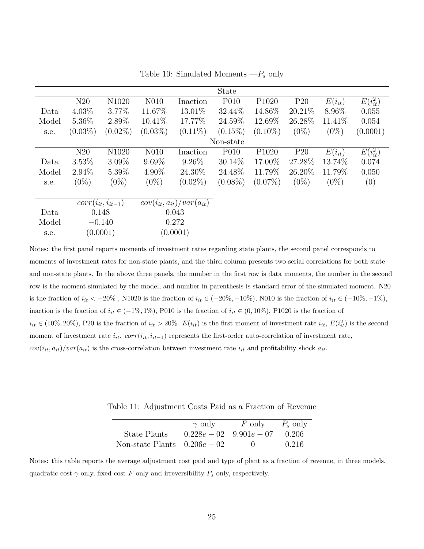<span id="page-25-0"></span>

|       |            |            |                   |            | <b>State</b>     |                   |           |             |               |
|-------|------------|------------|-------------------|------------|------------------|-------------------|-----------|-------------|---------------|
|       | N20        | N1020      | N <sub>0</sub> 10 | Inaction   | P010             | P <sub>1020</sub> | P20       | $E(i_{it})$ | $E(i_{it}^2)$ |
| Data  | 4.03%      | 3.77%      | 11.67%            | 13.01\%    | 32.44%           | 14.86%            | $20.21\%$ | 8.96\%      | 0.055         |
| Model | 5.36%      | 2.89%      | $10.41\%$         | 17.77\%    | 24.59%           | 12.69%            | 26.28%    | 11.41\%     | 0.054         |
| s.e.  | $(0.03\%)$ | $(0.02\%)$ | $(0.03\%)$        | $(0.11\%)$ | $(0.15\%)$       | $(0.10\%)$        | $(0\%)$   | $(0\%)$     | (0.0001)      |
|       |            |            |                   |            | Non-state        |                   |           |             |               |
|       | N20        | N1020      | N <sub>0</sub> 10 | Inaction   | P <sub>010</sub> | P1020             | P20       | $E(i_{it})$ | $E(i_{it}^2)$ |
| Data  | $3.53\%$   | $3.09\%$   | $9.69\%$          | $9.26\%$   | 30.14%           | 17.00%            | 27.28\%   | 13.74%      | 0.074         |
| Model | 2.94%      | 5.39%      | 4.90%             | 24.30%     | 24.48%           | 11.79%            | 26.20%    | 11.79%      | 0.050         |
| s.e.  | $(0\%)$    | $(0\%)$    | $(0\%)$           | $(0.02\%)$ | $(0.08\%)$       | $(0.07\%)$        | $(0\%)$   | $(0\%)$     | (0)           |
|       |            |            |                   |            |                  |                   |           |             |               |

Table 10: Simulated Moments —*P<sup>s</sup>* only

|       | $corr(i_{it}, i_{it-1})$ | $cov(i_{it}, a_{it})/var(a_{it})$ |
|-------|--------------------------|-----------------------------------|
| Data. | 0.148                    | 0.043                             |
| Model | $-0.140$                 | 0.272                             |
| s.e.  | (0.0001)                 | (0.0001)                          |

Notes: the first panel reports moments of investment rates regarding state plants, the second panel corresponds to moments of investment rates for non-state plants, and the third column presents two serial correlations for both state and non-state plants. In the above three panels, the number in the first row is data moments, the number in the second row is the moment simulated by the model, and number in parenthesis is standard error of the simulated moment. N20 is the fraction of  $i_{it} < -20\%$ , N1020 is the fraction of  $i_{it} \in (-20\%, -10\%)$ , N010 is the fraction of  $i_{it} \in (-10\%, -1\%)$ , inaction is the fraction of  $i_{it} \in (-1\%, 1\%)$ , P010 is the fraction of  $i_{it} \in (0, 10\%)$ , P1020 is the fraction of  $i_{it} \in (10\%, 20\%)$ , P20 is the fraction of  $i_{it} > 20\%$ .  $E(i_{it})$  is the first moment of investment rate  $i_{it}$ ,  $E(i_{it}^2)$  is the second moment of investment rate  $i_{it}$ .  $corr(i_{it}, i_{it-1})$  represents the first-order auto-correlation of investment rate,  $cov(i_{it}, a_{it})/var(a_{it})$  is the cross-correlation between investment rate  $i_{it}$  and profitability shock  $a_{it}$ .

Table 11: Adjustment Costs Paid as a Fraction of Revenue

|                               | $\gamma$ only | $F$ only                    | $P_s$ only |
|-------------------------------|---------------|-----------------------------|------------|
| State Plants                  |               | $0.228e - 02$ $9.901e - 07$ | 0.206      |
| Non-state Plants $0.206e-0.2$ |               |                             | 0.216      |

<span id="page-25-1"></span>Notes: this table reports the average adjustment cost paid and type of plant as a fraction of revenue, in three models, quadratic cost  $\gamma$  only, fixed cost *F* only and irreversibility  $P_s$  only, respectively.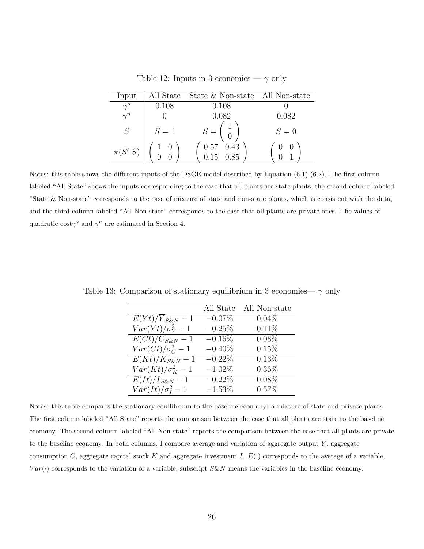<span id="page-26-0"></span>

| Input       | All State | State & Non-state All Non-state                            |       |
|-------------|-----------|------------------------------------------------------------|-------|
| $\gamma^s$  | 0.108     | 0.108                                                      |       |
| $\gamma^n$  |           | 0.082                                                      | 0.082 |
| S           | $S=1$     | $S = \left(\begin{array}{c} 1 \\ 0 \end{array}\right)$     | $S=0$ |
| $\pi(S' S)$ |           | $\begin{array}{cc} 0.57 & 0.43 \\ 0.15 & 0.85 \end{array}$ |       |

Table 12: Inputs in 3 economies —  $\gamma$  only

Notes: this table shows the different inputs of the DSGE model described by Equation (6.1)-(6.2). The first column labeled "All State" shows the inputs corresponding to the case that all plants are state plants, the second column labeled "State & Non-state" corresponds to the case of mixture of state and non-state plants, which is consistent with the data, and the third column labeled "All Non-state" corresponds to the case that all plants are private ones. The values of quadratic cost $\gamma^s$  and  $\gamma^n$  are estimated in Section 4.

|                               | All State | All Non-state |
|-------------------------------|-----------|---------------|
| $E(Yt)/Y_{S\&N}-1$            | $-0.07%$  | $0.04\%$      |
| $Var(Yt)/\sigma_Y^2-1$        | $-0.25%$  | 0.11%         |
| $E(Ct)/\overline{C}_{S\&N}-1$ | $-0.16\%$ | $0.08\%$      |
| $Var(Ct)/\sigma_C^2-1$        | $-0.40\%$ | 0.15%         |
| $E(Kt)/\overline{K}_{S\&N}-1$ | $-0.22\%$ | 0.13%         |
| $Var(Kt)/\sigma_K^2-1$        | $-1.02%$  | $0.36\%$      |
| $\overline{E(It)/I}_{S\&N}-1$ | $-0.22\%$ | $0.08\%$      |
| $Var(It)/\sigma_I^2-1$        | $-1.53%$  | 0.57%         |

<span id="page-26-1"></span>Table 13: Comparison of stationary equilibrium in 3 economies—  $\gamma$  only

Notes: this table compares the stationary equilibrium to the baseline economy: a mixture of state and private plants. The first column labeled "All State" reports the comparison between the case that all plants are state to the baseline economy. The second column labeled "All Non-state" reports the comparison between the case that all plants are private to the baseline economy. In both columns, I compare average and variation of aggregate output *Y* , aggregate consumption *C*, aggregate capital stock *K* and aggregate investment *I*.  $E(\cdot)$  corresponds to the average of a variable, *V ar*(·) corresponds to the variation of a variable, subscript *S*&*N* means the variables in the baseline economy.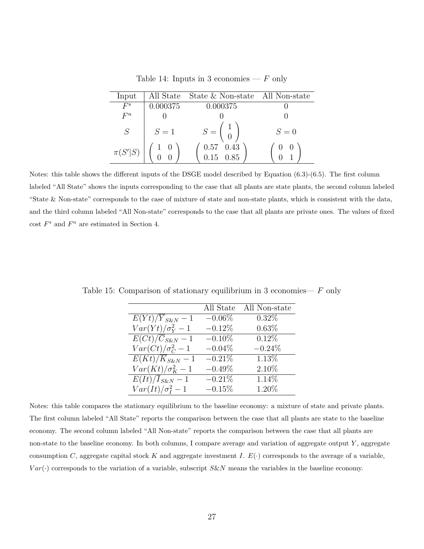Table 14: Inputs in 3 economies —  $F$  only

<span id="page-27-0"></span>

| Input       | All State                                    | State & Non-state All Non-state                                    |       |
|-------------|----------------------------------------------|--------------------------------------------------------------------|-------|
| $F^s$       | 0.000375                                     | 0.000375                                                           |       |
| $F^n$       |                                              |                                                                    |       |
| S           | $S=1$                                        | $S = \left(\begin{array}{c} 1 \\ 0 \end{array}\right)$             | $S=0$ |
| $\pi(S' S)$ | $\begin{matrix} 1 & 0 \\ 0 & 0 \end{matrix}$ | $\begin{array}{cc} 0.57 & 0.43 \\ 0.15 & 0.85 \end{array}$<br>0.15 |       |

Notes: this table shows the different inputs of the DSGE model described by Equation (6.3)-(6.5). The first column labeled "All State" shows the inputs corresponding to the case that all plants are state plants, the second column labeled "State & Non-state" corresponds to the case of mixture of state and non-state plants, which is consistent with the data, and the third column labeled "All Non-state" corresponds to the case that all plants are private ones. The values of fixed  $\cos t$   $F^s$  and  $F^n$  are estimated in Section 4.

|                                          | All State | All Non-state |
|------------------------------------------|-----------|---------------|
| $E(Yt)/\overline{Y}_{S\&N}-1$            | $-0.06%$  | $0.32\%$      |
| $Var(Yt)/\sigma_Y^2-1$                   | $-0.12%$  | $0.63\%$      |
| $\overline{E(Ct)}/\overline{C}_{S\&N}-1$ | $-0.10\%$ | 0.12%         |
| $Var(Ct)/\sigma_C^2-1$                   | $-0.04%$  | $-0.24\%$     |
| $\overline{E}(Kt)/\overline{K}_{S\&N}-1$ | $-0.21%$  | 1.13%         |
| $Var(Kt)/\sigma_K^2-1$                   | $-0.49%$  | 2.10%         |
| $E(It)/\overline{I}_{S\&N}-1$            | $-0.21\%$ | 1.14%         |
| $Var(It)/\sigma_I^2-1$                   | $-0.15%$  | 1.20%         |

<span id="page-27-1"></span>Table 15: Comparison of stationary equilibrium in 3 economies— *F* only

Notes: this table compares the stationary equilibrium to the baseline economy: a mixture of state and private plants. The first column labeled "All State" reports the comparison between the case that all plants are state to the baseline economy. The second column labeled "All Non-state" reports the comparison between the case that all plants are non-state to the baseline economy. In both columns, I compare average and variation of aggregate output *Y* , aggregate consumption *C*, aggregate capital stock *K* and aggregate investment *I*.  $E(\cdot)$  corresponds to the average of a variable,  $Var(\cdot)$  corresponds to the variation of a variable, subscript *S&N* means the variables in the baseline economy.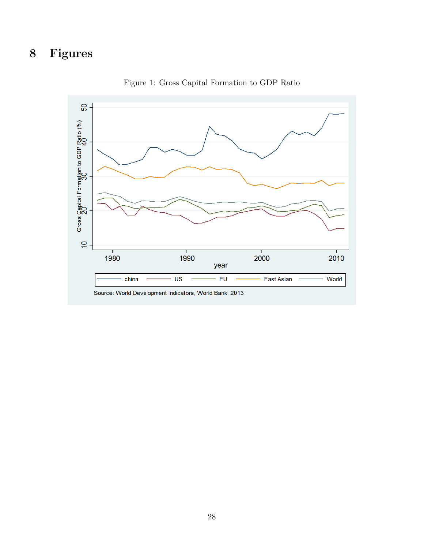# <span id="page-28-0"></span>**8 Figures**



Figure 1: Gross Capital Formation to GDP Ratio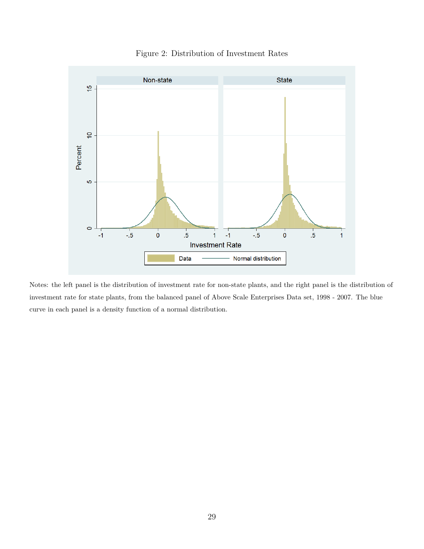<span id="page-29-0"></span>

Figure 2: Distribution of Investment Rates

Notes: the left panel is the distribution of investment rate for non-state plants, and the right panel is the distribution of investment rate for state plants, from the balanced panel of Above Scale Enterprises Data set, 1998 - 2007. The blue curve in each panel is a density function of a normal distribution.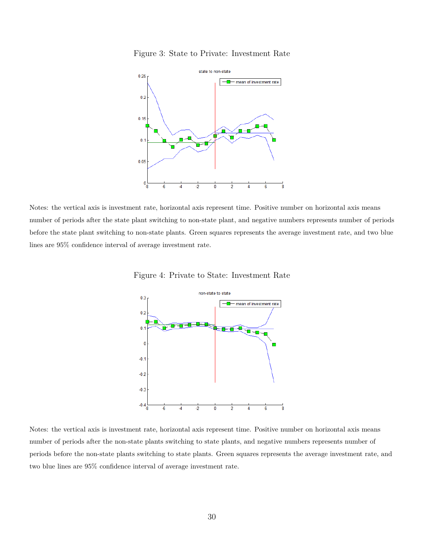Figure 3: State to Private: Investment Rate

<span id="page-30-0"></span>

<span id="page-30-1"></span>Notes: the vertical axis is investment rate, horizontal axis represent time. Positive number on horizontal axis means number of periods after the state plant switching to non-state plant, and negative numbers represents number of periods before the state plant switching to non-state plants. Green squares represents the average investment rate, and two blue lines are 95% confidence interval of average investment rate.



Figure 4: Private to State: Investment Rate

Notes: the vertical axis is investment rate, horizontal axis represent time. Positive number on horizontal axis means number of periods after the non-state plants switching to state plants, and negative numbers represents number of periods before the non-state plants switching to state plants. Green squares represents the average investment rate, and two blue lines are 95% confidence interval of average investment rate.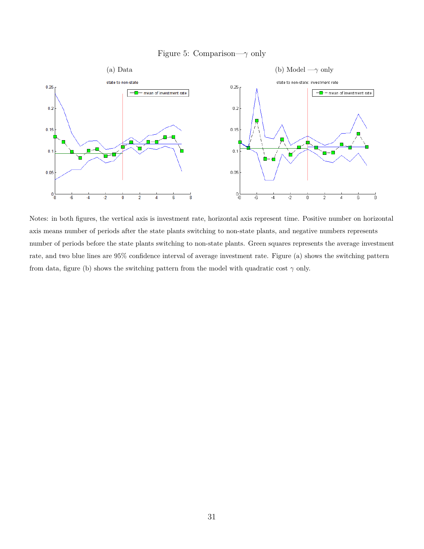### Figure 5: Comparison—*γ* only

<span id="page-31-0"></span>

Notes: in both figures, the vertical axis is investment rate, horizontal axis represent time. Positive number on horizontal axis means number of periods after the state plants switching to non-state plants, and negative numbers represents number of periods before the state plants switching to non-state plants. Green squares represents the average investment rate, and two blue lines are 95% confidence interval of average investment rate. Figure (a) shows the switching pattern from data, figure (b) shows the switching pattern from the model with quadratic cost  $\gamma$  only.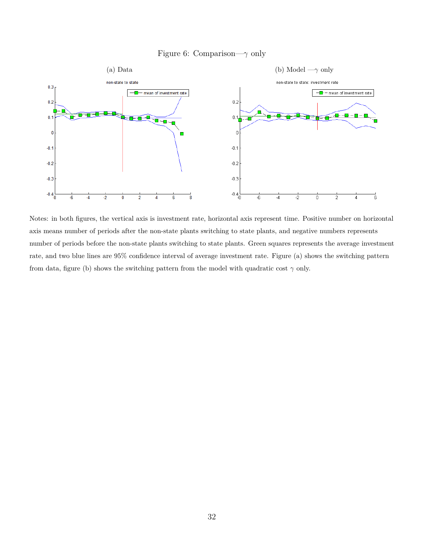### Figure 6: Comparison—*γ* only

<span id="page-32-0"></span>

Notes: in both figures, the vertical axis is investment rate, horizontal axis represent time. Positive number on horizontal axis means number of periods after the non-state plants switching to state plants, and negative numbers represents number of periods before the non-state plants switching to state plants. Green squares represents the average investment rate, and two blue lines are 95% confidence interval of average investment rate. Figure (a) shows the switching pattern from data, figure (b) shows the switching pattern from the model with quadratic cost  $\gamma$  only.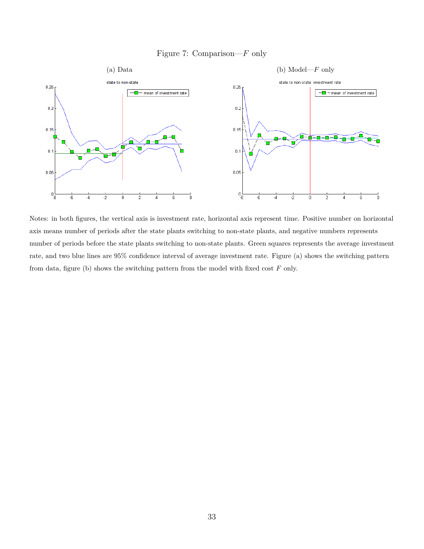### Figure 7: Comparison—*F* only

<span id="page-33-0"></span>

Notes: in both figures, the vertical axis is investment rate, horizontal axis represent time. Positive number on horizontal axis means number of periods after the state plants switching to non-state plants, and negative numbers represents number of periods before the state plants switching to non-state plants. Green squares represents the average investment rate, and two blue lines are 95% confidence interval of average investment rate. Figure (a) shows the switching pattern from data, figure (b) shows the switching pattern from the model with fixed cost *F* only.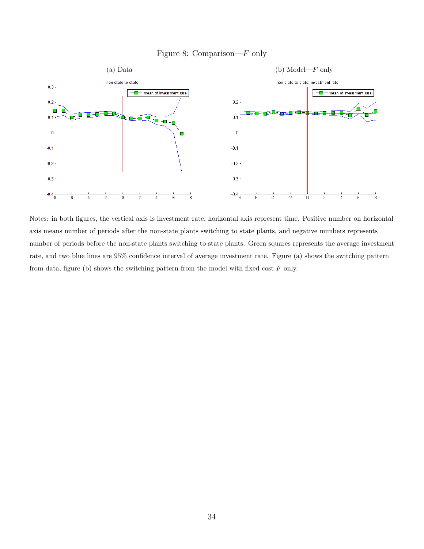### Figure 8: Comparison—*F* only

<span id="page-34-0"></span>

Notes: in both figures, the vertical axis is investment rate, horizontal axis represent time. Positive number on horizontal axis means number of periods after the non-state plants switching to state plants, and negative numbers represents number of periods before the non-state plants switching to state plants. Green squares represents the average investment rate, and two blue lines are 95% confidence interval of average investment rate. Figure (a) shows the switching pattern from data, figure (b) shows the switching pattern from the model with fixed cost *F* only.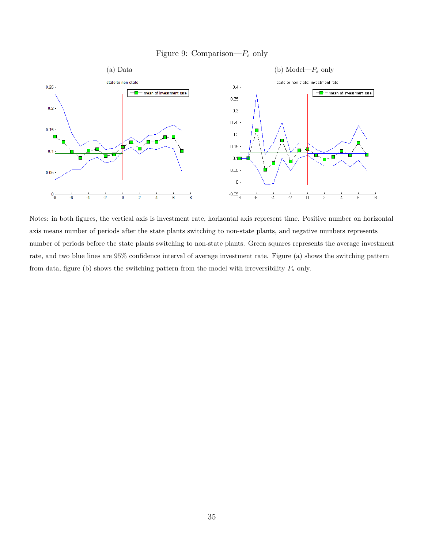### Figure 9: Comparison—*P<sup>s</sup>* only

<span id="page-35-0"></span>

Notes: in both figures, the vertical axis is investment rate, horizontal axis represent time. Positive number on horizontal axis means number of periods after the state plants switching to non-state plants, and negative numbers represents number of periods before the state plants switching to non-state plants. Green squares represents the average investment rate, and two blue lines are 95% confidence interval of average investment rate. Figure (a) shows the switching pattern from data, figure (b) shows the switching pattern from the model with irreversibility *P<sup>s</sup>* only.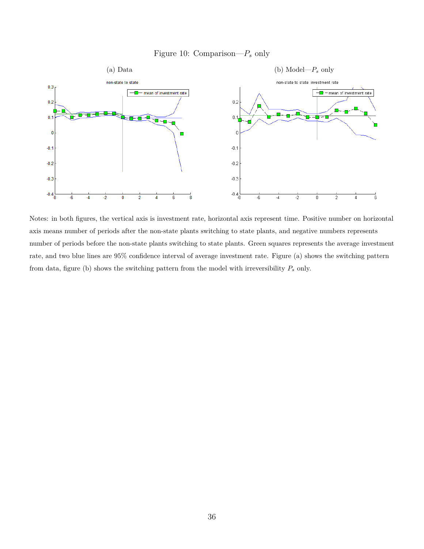### Figure 10: Comparison—*P<sup>s</sup>* only

<span id="page-36-0"></span>

Notes: in both figures, the vertical axis is investment rate, horizontal axis represent time. Positive number on horizontal axis means number of periods after the non-state plants switching to state plants, and negative numbers represents number of periods before the non-state plants switching to state plants. Green squares represents the average investment rate, and two blue lines are 95% confidence interval of average investment rate. Figure (a) shows the switching pattern from data, figure (b) shows the switching pattern from the model with irreversibility *P<sup>s</sup>* only.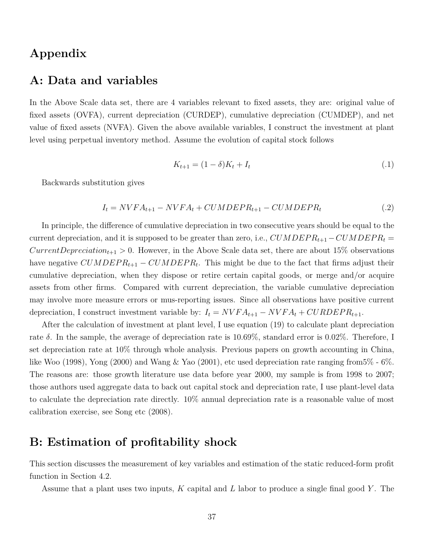# **Appendix**

# **A: Data and variables**

In the Above Scale data set, there are 4 variables relevant to fixed assets, they are: original value of fixed assets (OVFA), current depreciation (CURDEP), cumulative depreciation (CUMDEP), and net value of fixed assets (NVFA). Given the above available variables, I construct the investment at plant level using perpetual inventory method. Assume the evolution of capital stock follows

$$
K_{t+1} = (1 - \delta)K_t + I_t \tag{1}
$$

Backwards substitution gives

$$
I_t = NVR_{t+1} - NVR_{t} + CUMDEPR_{t+1} - CUMDEPR_t
$$
\n
$$
(.2)
$$

In principle, the difference of cumulative depreciation in two consecutive years should be equal to the current depreciation, and it is supposed to be greater than zero, i.e.,  $CUMDER_{t+1} - CUMDER_t =$ *CurrentDepreciation*<sub>t+1</sub> > 0. However, in the Above Scale data set, there are about 15% observations have negative  $CUMDEPR_{t+1} - CUMDEPR_t$ . This might be due to the fact that firms adjust their cumulative depreciation, when they dispose or retire certain capital goods, or merge and/or acquire assets from other firms. Compared with current depreciation, the variable cumulative depreciation may involve more measure errors or mus-reporting issues. Since all observations have positive current depreciation, I construct investment variable by:  $I_t = N_VFA_{t+1} - N_VFA_t + CURDEPR_{t+1}$ .

After the calculation of investment at plant level, I use equation (19) to calculate plant depreciation rate *δ*. In the sample, the average of depreciation rate is 10*.*69%, standard error is 0*.*02%. Therefore, I set depreciation rate at 10% through whole analysis. Previous papers on growth accounting in China, like Woo (1998), Yong (2000) and Wang & Yao (2001), etc used depreciation rate ranging from5% - 6%. The reasons are: those growth literature use data before year 2000, my sample is from 1998 to 2007; those authors used aggregate data to back out capital stock and depreciation rate, I use plant-level data to calculate the depreciation rate directly. 10% annual depreciation rate is a reasonable value of most calibration exercise, see Song etc (2008).

# **B: Estimation of profitability shock**

This section discusses the measurement of key variables and estimation of the static reduced-form profit function in Section 4.2.

Assume that a plant uses two inputs, *K* capital and *L* labor to produce a single final good *Y* . The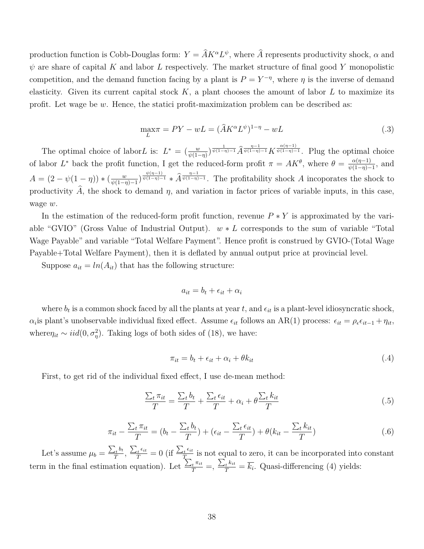production function is Cobb-Douglas form:  $Y = \hat{A}K^{\alpha}L^{\psi}$ , where  $\hat{A}$  represents productivity shock,  $\alpha$  and  $\psi$  are share of capital *K* and labor *L* respectively. The market structure of final good *Y* monopolistic competition, and the demand function facing by a plant is  $P = Y^{-\eta}$ , where  $\eta$  is the inverse of demand elasticity. Given its current capital stock  $K$ , a plant chooses the amount of labor  $L$  to maximize its profit. Let wage be *w*. Hence, the statici profit-maximization problem can be described as:

$$
\max_{L} \pi = PY - wL = (\hat{A}K^{\alpha}L^{\psi})^{1-\eta} - wL \tag{.3}
$$

The optimal choice of labor L is:  $L^* = \left(\frac{w}{\psi(1-\eta)}\right)^{\frac{1}{\psi(1-\eta)-1}} \hat{A}^{\frac{\eta-1}{\psi(1-\eta)-1}} K^{\frac{\alpha(\eta-1)}{\psi(1-\eta)-1}}$ . Plug the optimal choice of labor  $L^*$  back the profit function, I get the reduced-form profit  $\pi = AK^\theta$ , where  $\theta = \frac{\alpha(\eta-1)}{\phi(1-\eta)}$  $\frac{\alpha(\eta-1)}{\psi(1-\eta)-1}$ , and  $A = (2 - \psi(1 - \eta)) * (\frac{w}{\psi(1 - \eta)})$  $\frac{w}{\psi(1-\eta)-1}$   $\psi^{(n-1)}(1-\eta)-1}$  \*  $\widehat{A}^{\frac{n-1}{\psi(1-\eta)-1}}$ . The profitability shock *A* incoporates the shock to productivity  $\hat{A}$ , the shock to demand  $\eta$ , and variation in factor prices of variable inputs, in this case, wage *w*.

In the estimation of the reduced-form profit function, revenue *P* ∗ *Y* is approximated by the variable "GVIO" (Gross Value of Industrial Output). *w* ∗ *L* corresponds to the sum of variable "Total Wage Payable" and variable "Total Welfare Payment". Hence profit is construed by GVIO-(Total Wage Payable+Total Welfare Payment), then it is deflated by annual output price at provincial level.

Suppose  $a_{it} = ln(A_{it})$  that has the following structure:

$$
a_{it} = b_t + \epsilon_{it} + \alpha_i
$$

where  $b_t$  is a common shock faced by all the plants at year  $t$ , and  $\epsilon_{it}$  is a plant-level idiosyncratic shock,  $\alpha_i$  is plant's unobservable individual fixed effect. Assume  $\epsilon_{it}$  follows an AR(1) process:  $\epsilon_{it} = \rho_{\epsilon} \epsilon_{it-1} + \eta_{it}$ , where $\eta_{it} \sim \text{iid}(0, \sigma_{\eta}^2)$ . Taking logs of both sides of (18), we have:

$$
\pi_{it} = b_t + \epsilon_{it} + \alpha_i + \theta k_{it} \tag{.4}
$$

First, to get rid of the individual fixed effect, I use de-mean method:

$$
\frac{\sum_{t} \pi_{it}}{T} = \frac{\sum_{t} b_{t}}{T} + \frac{\sum_{t} \epsilon_{it}}{T} + \alpha_{i} + \theta \frac{\sum_{t} k_{it}}{T}
$$
\n(.5)

$$
\pi_{it} - \frac{\sum_{t} \pi_{it}}{T} = (b_t - \frac{\sum_{t} b_t}{T}) + (\epsilon_{it} - \frac{\sum_{t} \epsilon_{it}}{T}) + \theta(k_{it} - \frac{\sum_{t} k_{it}}{T}) \tag{6}
$$

Let's assume  $\mu_b = \frac{\sum_t b_t}{T}$  $\frac{\sum_{t} b_t}{T}, \frac{\sum_{t} \epsilon_{it}}{T} = 0 \text{ (if } \frac{\sum_{t} \epsilon_{it}}{T}$ *T* is not equal to zero, it can be incorporated into constant term in the final estimation equation). Let  $\frac{\sum_t \pi_{it}}{T} = \frac{\sum_t k_{it}}{T} = \overline{k_i}$ . Quasi-differencing (4) yields: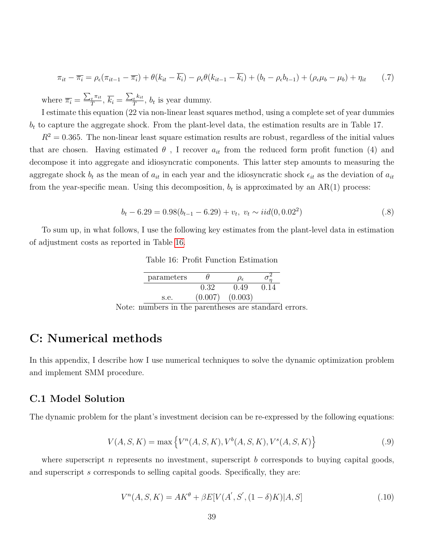$$
\pi_{it} - \overline{\pi_i} = \rho_{\epsilon}(\pi_{it-1} - \overline{\pi_i}) + \theta(k_{it} - \overline{k_i}) - \rho_{\epsilon}\theta(k_{it-1} - \overline{k_i}) + (b_t - \rho_{\epsilon}b_{t-1}) + (\rho_{\epsilon}\mu_b - \mu_b) + \eta_{it} \tag{7}
$$

where  $\overline{\pi_i} = \frac{\sum_t \pi_{it}}{T_i}$  $\frac{t^{\pi_{it}}}{T}, \overline{k_i} = \frac{\sum_t k_{it}}{T}$  $\frac{t^{k} - t}{T}$ ,  $b_t$  is year dummy.

I estimate this equation (22 via non-linear least squares method, using a complete set of year dummies  $b_t$  to capture the aggregate shock. From the plant-level data, the estimation results are in Table 17.

 $R<sup>2</sup> = 0.365$ . The non-linear least square estimation results are robust, regardless of the initial values that are chosen. Having estimated  $\theta$ , I recover  $a_{it}$  from the reduced form profit function (4) and decompose it into aggregate and idiosyncratic components. This latter step amounts to measuring the aggregate shock  $b_t$  as the mean of  $a_{it}$  in each year and the idiosyncratic shock  $\epsilon_{it}$  as the deviation of  $a_{it}$ from the year-specific mean. Using this decomposition,  $b_t$  is approximated by an  $AR(1)$  process:

$$
b_t - 6.29 = 0.98(b_{t-1} - 6.29) + v_t, \ v_t \sim iid(0, 0.02^2)
$$
\n
$$
(0.8)
$$

<span id="page-39-0"></span>To sum up, in what follows, I use the following key estimates from the plant-level data in estimation of adjustment costs as reported in Table [16.](#page-39-0)

| parameters |         | J <sub>Ε</sub> |  |
|------------|---------|----------------|--|
|            | 0.32    | 0.49           |  |
| s.e.       | (0.007) | (0.003)        |  |

Table 16: Profit Function Estimation

Note: numbers in the parentheses are standard errors.

# **C: Numerical methods**

In this appendix, I describe how I use numerical techniques to solve the dynamic optimization problem and implement SMM procedure.

### **C.1 Model Solution**

The dynamic problem for the plant's investment decision can be re-expressed by the following equations:

$$
V(A, S, K) = \max \{ V^n(A, S, K), V^b(A, S, K), V^s(A, S, K) \}
$$
 (.9)

where superscript *n* represents no investment, superscript *b* corresponds to buying capital goods, and superscript *s* corresponds to selling capital goods. Specifically, they are:

$$
V^{n}(A, S, K) = AK^{\theta} + \beta E[V(A', S', (1 - \delta)K)|A, S]
$$
\n(.10)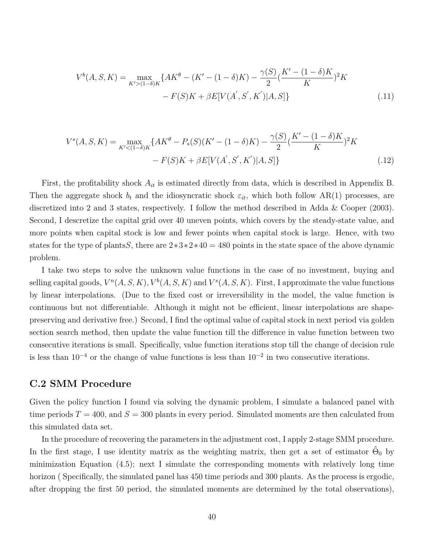$$
V^{b}(A, S, K) = \max_{K'>(1-\delta)K} \{ AK^{\theta} - (K' - (1-\delta)K) - \frac{\gamma(S)}{2} (\frac{K' - (1-\delta)K}{K})^{2} K - F(S)K + \beta E[V(A', S', K')|A, S] \}
$$
(.11)

$$
V^{s}(A, S, K) = \max_{K' < (1-\delta)K} \{ AK^{\theta} - P_{s}(S)(K' - (1-\delta)K) - \frac{\gamma(S)}{2} (\frac{K' - (1-\delta)K}{K})^{2} K - F(S)K + \beta E[V(A', S', K')]A, S] \} \tag{.12}
$$

First, the profitability shock *Ait* is estimated directly from data, which is described in Appendix B. Then the aggregate shock  $b_t$  and the idiosyncratic shock  $\varepsilon_{it}$ , which both follow AR(1) processes, are discretized into 2 and 3 states, respectively. I follow the method described in Adda & Cooper (2003). Second, I descretize the capital grid over 40 uneven points, which covers by the steady-state value, and more points when capital stock is low and fewer points when capital stock is large. Hence, with two states for the type of plants*S*, there are 2∗3∗2∗40 = 480 points in the state space of the above dynamic problem.

I take two steps to solve the unknown value functions in the case of no investment, buying and selling capital goods,  $V^n(A, S, K)$ ,  $V^b(A, S, K)$  and  $V^s(A, S, K)$ . First, I approximate the value functions by linear interpolations. (Due to the fixed cost or irreversibility in the model, the value function is continuous but not differentiable. Although it might not be efficient, linear interpolations are shapepreserving and derivative free.) Second, I find the optimal value of capital stock in next period via golden section search method, then update the value function till the difference in value function between two consecutive iterations is small. Specifically, value function iterations stop till the change of decision rule is less than  $10^{-4}$  or the change of value functions is less than  $10^{-2}$  in two consecutive iterations.

### **C.2 SMM Procedure**

Given the policy function I found via solving the dynamic problem, I simulate a balanced panel with time periods  $T = 400$ , and  $S = 300$  plants in every period. Simulated moments are then calculated from this simulated data set.

In the procedure of recovering the parameters in the adjustment cost, I apply 2-stage SMM procedure. In the first stage, I use identity matrix as the weighting matrix, then get a set of estimator  $\hat{\Theta}_0$  by minimization Equation (4.5); next I simulate the corresponding moments with relatively long time horizon (Specifically, the simulated panel has 450 time periods and 300 plants. As the process is ergodic, after dropping the first 50 period, the simulated moments are determined by the total observations),